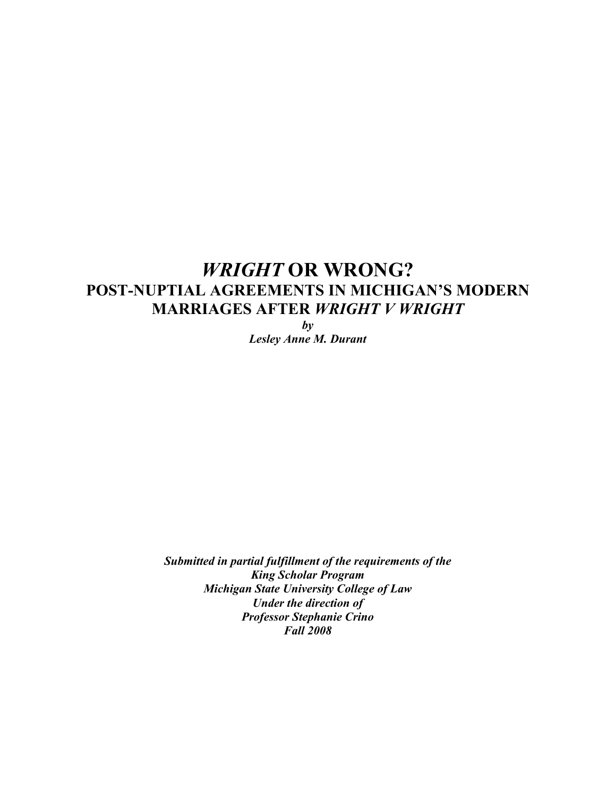# *WRIGHT* **OR WRONG? POST-NUPTIAL AGREEMENTS IN MICHIGAN'S MODERN MARRIAGES AFTER** *WRIGHT V WRIGHT*

*by Lesley Anne M. Durant*

*Submitted in partial fulfillment of the requirements of the King Scholar Program Michigan State University College of Law Under the direction of Professor Stephanie Crino Fall 2008*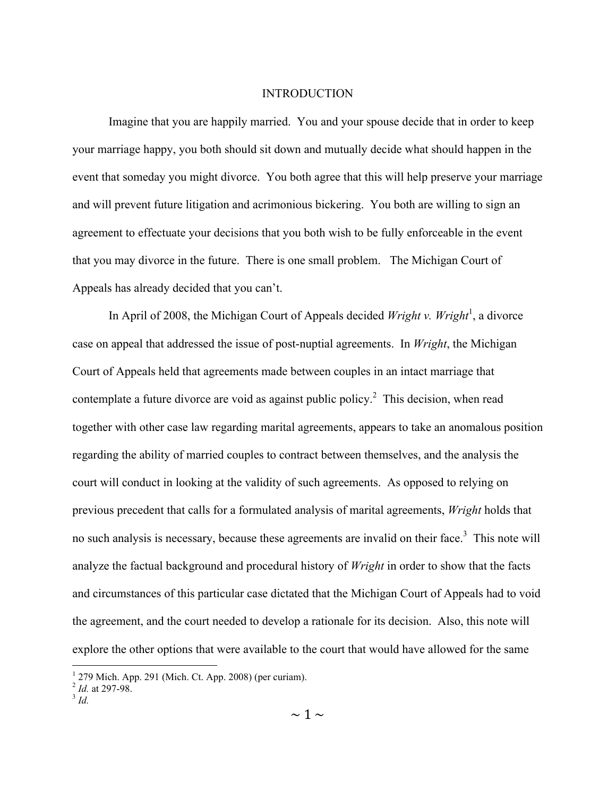#### INTRODUCTION

Imagine that you are happily married. You and your spouse decide that in order to keep your marriage happy, you both should sit down and mutually decide what should happen in the event that someday you might divorce. You both agree that this will help preserve your marriage and will prevent future litigation and acrimonious bickering. You both are willing to sign an agreement to effectuate your decisions that you both wish to be fully enforceable in the event that you may divorce in the future. There is one small problem. The Michigan Court of Appeals has already decided that you can't.

In April of 2008, the Michigan Court of Appeals decided *Wright v. Wright*<sup>1</sup>, a divorce case on appeal that addressed the issue of post-nuptial agreements. In *Wright*, the Michigan Court of Appeals held that agreements made between couples in an intact marriage that contemplate a future divorce are void as against public policy.<sup>2</sup> This decision, when read together with other case law regarding marital agreements, appears to take an anomalous position regarding the ability of married couples to contract between themselves, and the analysis the court will conduct in looking at the validity of such agreements. As opposed to relying on previous precedent that calls for a formulated analysis of marital agreements, *Wright* holds that no such analysis is necessary, because these agreements are invalid on their face.<sup>3</sup> This note will analyze the factual background and procedural history of *Wright* in order to show that the facts and circumstances of this particular case dictated that the Michigan Court of Appeals had to void the agreement, and the court needed to develop a rationale for its decision. Also, this note will explore the other options that were available to the court that would have allowed for the same

 $\frac{1}{1}$ 279 Mich. App. 291 (Mich. Ct. App. 2008) (per curiam).

<sup>2</sup> *Id.* at 297-98. <sup>3</sup> *Id.*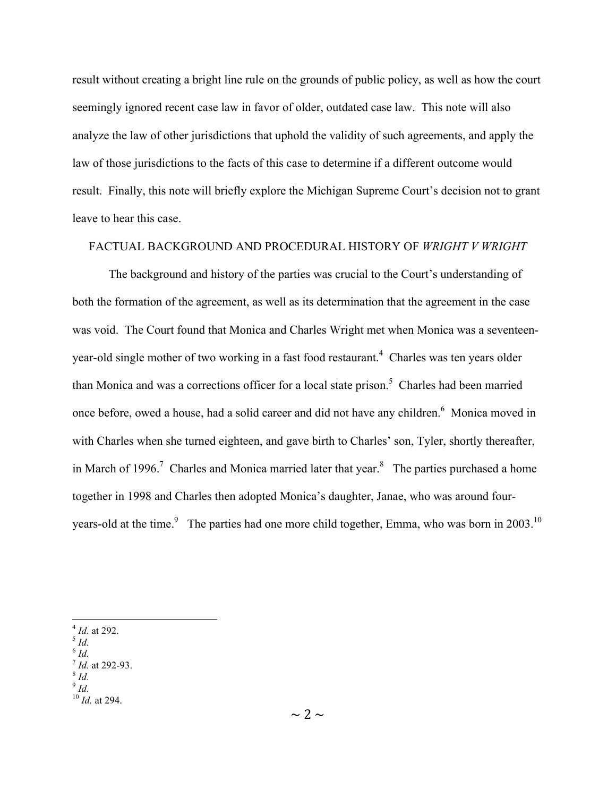result without creating a bright line rule on the grounds of public policy, as well as how the court seemingly ignored recent case law in favor of older, outdated case law. This note will also analyze the law of other jurisdictions that uphold the validity of such agreements, and apply the law of those jurisdictions to the facts of this case to determine if a different outcome would result. Finally, this note will briefly explore the Michigan Supreme Court's decision not to grant leave to hear this case.

# FACTUAL BACKGROUND AND PROCEDURAL HISTORY OF *WRIGHT V WRIGHT*

The background and history of the parties was crucial to the Court's understanding of both the formation of the agreement, as well as its determination that the agreement in the case was void. The Court found that Monica and Charles Wright met when Monica was a seventeenyear-old single mother of two working in a fast food restaurant.<sup>4</sup> Charles was ten years older than Monica and was a corrections officer for a local state prison.<sup>5</sup> Charles had been married once before, owed a house, had a solid career and did not have any children.<sup>6</sup> Monica moved in with Charles when she turned eighteen, and gave birth to Charles' son, Tyler, shortly thereafter, in March of 1996.<sup>7</sup> Charles and Monica married later that year.<sup>8</sup> The parties purchased a home together in 1998 and Charles then adopted Monica's daughter, Janae, who was around fouryears-old at the time.<sup>9</sup> The parties had one more child together, Emma, who was born in 2003.<sup>10</sup>

 $\overline{d}$ 

<sup>4</sup> *Id.* at 292. <sup>5</sup> *Id.*

<sup>6</sup> *Id.*

<sup>&</sup>lt;sup>7</sup> *Id.* at 292-93.<br><sup>8</sup> *Id.* 

<sup>10</sup> *Id.* at 294.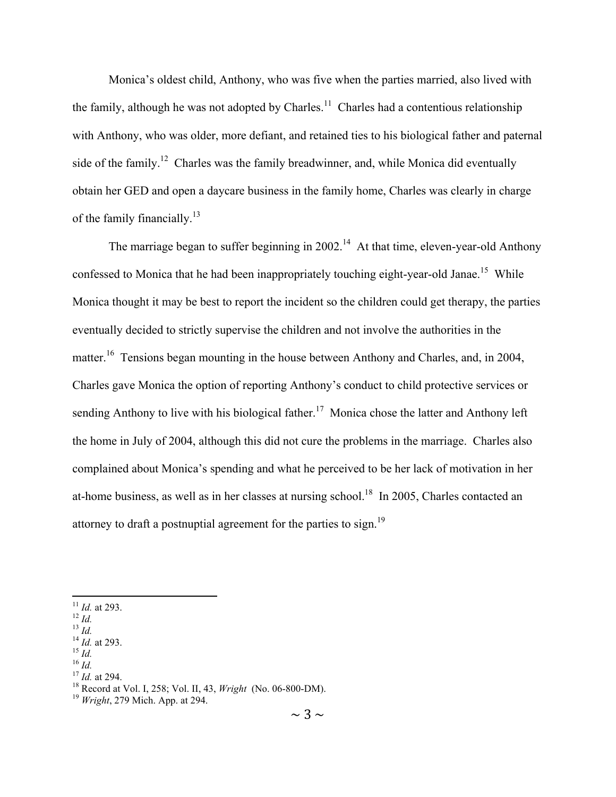Monica's oldest child, Anthony, who was five when the parties married, also lived with the family, although he was not adopted by Charles.<sup>11</sup> Charles had a contentious relationship with Anthony, who was older, more defiant, and retained ties to his biological father and paternal side of the family.<sup>12</sup> Charles was the family breadwinner, and, while Monica did eventually obtain her GED and open a daycare business in the family home, Charles was clearly in charge of the family financially.<sup>13</sup>

The marriage began to suffer beginning in  $2002$ <sup>14</sup> At that time, eleven-year-old Anthony confessed to Monica that he had been inappropriately touching eight-year-old Janae.<sup>15</sup> While Monica thought it may be best to report the incident so the children could get therapy, the parties eventually decided to strictly supervise the children and not involve the authorities in the matter.<sup>16</sup> Tensions began mounting in the house between Anthony and Charles, and, in 2004, Charles gave Monica the option of reporting Anthony's conduct to child protective services or sending Anthony to live with his biological father.<sup>17</sup> Monica chose the latter and Anthony left the home in July of 2004, although this did not cure the problems in the marriage. Charles also complained about Monica's spending and what he perceived to be her lack of motivation in her at-home business, as well as in her classes at nursing school.<sup>18</sup> In 2005, Charles contacted an attorney to draft a postnuptial agreement for the parties to sign.19

<sup>&</sup>lt;sup>11</sup> *Id.* at 293.<br>
<sup>12</sup> *Id.*<br>
<sup>13</sup> *Id.*<br>
<sup>14</sup> *Id.* at 293.<br>
<sup>15</sup> *Id.*<br>
<sup>16</sup> *Id.*<br>
<sup>17</sup> *Id.* at 294.<br>
<sup>18</sup> Record at Vol. I, 258; Vol. II, 43, *Wright* (No. 06-800-DM).<br>
<sup>19</sup> *Wright*, 279 Mich. App. at 294.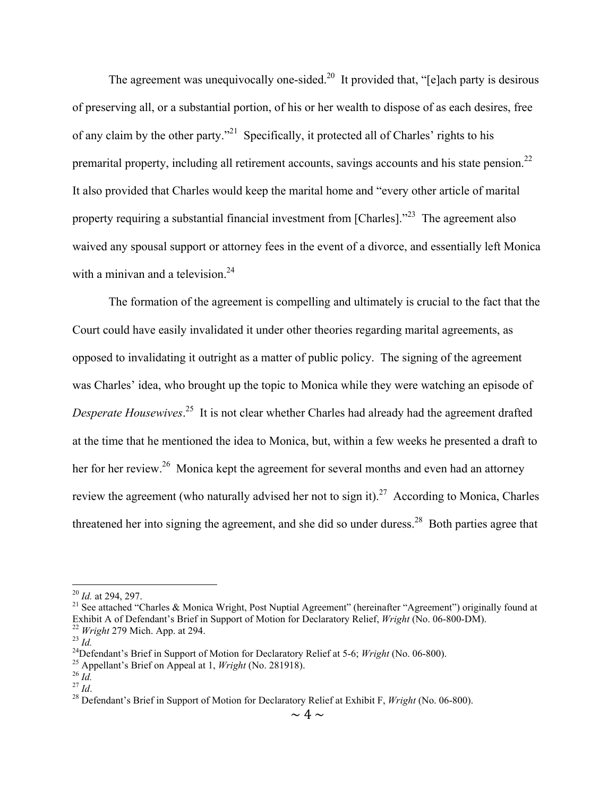The agreement was unequivocally one-sided.<sup>20</sup> It provided that, "[e]ach party is desirous of preserving all, or a substantial portion, of his or her wealth to dispose of as each desires, free of any claim by the other party."21 Specifically, it protected all of Charles' rights to his premarital property, including all retirement accounts, savings accounts and his state pension.<sup>22</sup> It also provided that Charles would keep the marital home and "every other article of marital property requiring a substantial financial investment from [Charles].<sup>"23</sup> The agreement also waived any spousal support or attorney fees in the event of a divorce, and essentially left Monica with a minivan and a television. $24$ 

The formation of the agreement is compelling and ultimately is crucial to the fact that the Court could have easily invalidated it under other theories regarding marital agreements, as opposed to invalidating it outright as a matter of public policy. The signing of the agreement was Charles' idea, who brought up the topic to Monica while they were watching an episode of *Desperate Housewives*. 25 It is not clear whether Charles had already had the agreement drafted at the time that he mentioned the idea to Monica, but, within a few weeks he presented a draft to her for her review.<sup>26</sup> Monica kept the agreement for several months and even had an attorney review the agreement (who naturally advised her not to sign it).<sup>27</sup> According to Monica, Charles threatened her into signing the agreement, and she did so under duress.<sup>28</sup> Both parties agree that

<sup>&</sup>lt;sup>20</sup> *Id.* at 294, 297.<br><sup>21</sup> See attached "Charles & Monica Wright, Post Nuptial Agreement" (hereinafter "Agreement") originally found at Exhibit A of Defendant's Brief in Support of Motion for Declaratory Relief, *Wright* (No. 06-800-DM).<br><sup>22</sup> *Wright* 279 Mich. App. at 294.<br><sup>23</sup> *Id.*<br><sup>24</sup> Defendant's Brief in Support of Motion for Declaratory Relief at 5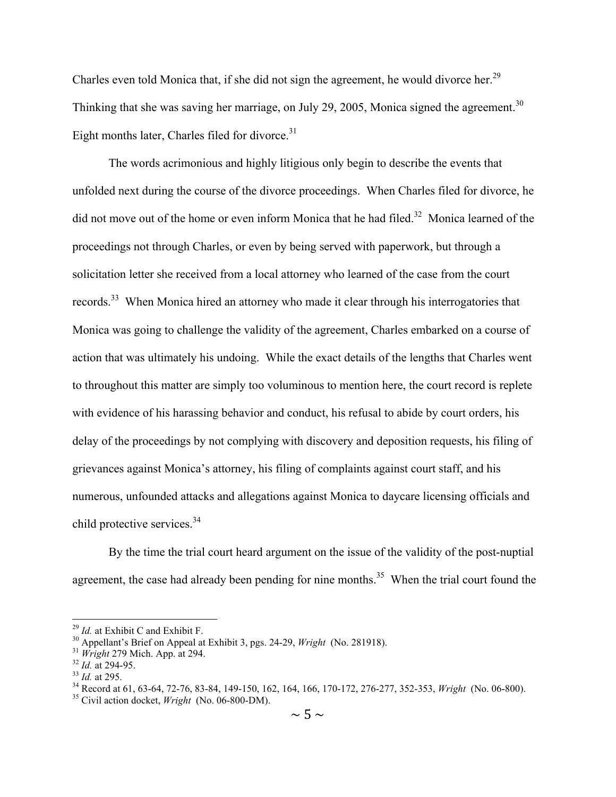Charles even told Monica that, if she did not sign the agreement, he would divorce her.<sup>29</sup> Thinking that she was saving her marriage, on July 29, 2005, Monica signed the agreement.<sup>30</sup> Eight months later, Charles filed for divorce.<sup>31</sup>

The words acrimonious and highly litigious only begin to describe the events that unfolded next during the course of the divorce proceedings. When Charles filed for divorce, he did not move out of the home or even inform Monica that he had filed.<sup>32</sup> Monica learned of the proceedings not through Charles, or even by being served with paperwork, but through a solicitation letter she received from a local attorney who learned of the case from the court records.<sup>33</sup> When Monica hired an attorney who made it clear through his interrogatories that Monica was going to challenge the validity of the agreement, Charles embarked on a course of action that was ultimately his undoing. While the exact details of the lengths that Charles went to throughout this matter are simply too voluminous to mention here, the court record is replete with evidence of his harassing behavior and conduct, his refusal to abide by court orders, his delay of the proceedings by not complying with discovery and deposition requests, his filing of grievances against Monica's attorney, his filing of complaints against court staff, and his numerous, unfounded attacks and allegations against Monica to daycare licensing officials and child protective services.<sup>34</sup>

By the time the trial court heard argument on the issue of the validity of the post-nuptial agreement, the case had already been pending for nine months.<sup>35</sup> When the trial court found the

<sup>&</sup>lt;sup>29</sup> *Id.* at Exhibit C and Exhibit F.<br><sup>30</sup> Appellant's Brief on Appeal at Exhibit 3, pgs. 24-29, *Wright* (No. 281918).<br><sup>31</sup> *Wright* 279 Mich. App. at 294.<br><sup>32</sup> *Id.* at 294-95.<br><sup>33</sup> *Id.* at 295.<br><sup>34</sup> Record at 61, 63-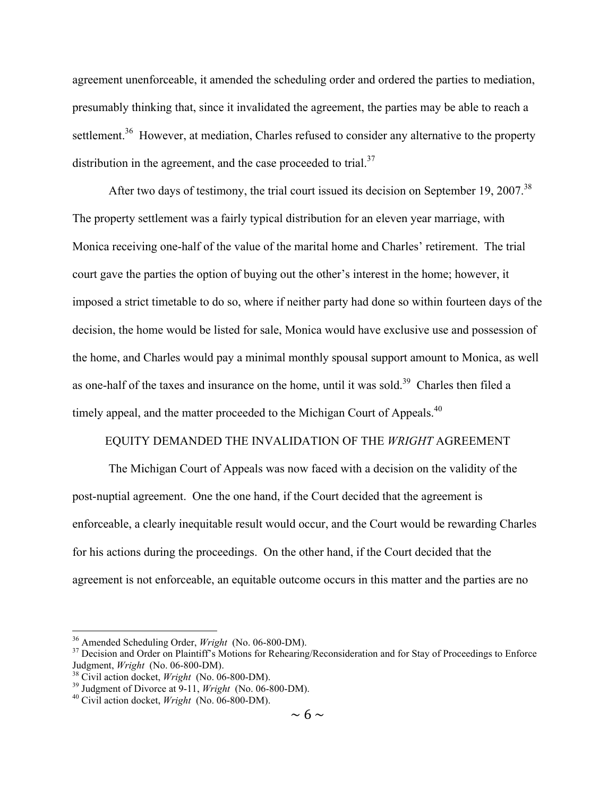agreement unenforceable, it amended the scheduling order and ordered the parties to mediation, presumably thinking that, since it invalidated the agreement, the parties may be able to reach a settlement.<sup>36</sup> However, at mediation, Charles refused to consider any alternative to the property distribution in the agreement, and the case proceeded to trial. $37$ 

After two days of testimony, the trial court issued its decision on September 19, 2007.<sup>38</sup> The property settlement was a fairly typical distribution for an eleven year marriage, with Monica receiving one-half of the value of the marital home and Charles' retirement. The trial court gave the parties the option of buying out the other's interest in the home; however, it imposed a strict timetable to do so, where if neither party had done so within fourteen days of the decision, the home would be listed for sale, Monica would have exclusive use and possession of the home, and Charles would pay a minimal monthly spousal support amount to Monica, as well as one-half of the taxes and insurance on the home, until it was sold.<sup>39</sup> Charles then filed a timely appeal, and the matter proceeded to the Michigan Court of Appeals.<sup>40</sup>

#### EQUITY DEMANDED THE INVALIDATION OF THE *WRIGHT* AGREEMENT

The Michigan Court of Appeals was now faced with a decision on the validity of the post-nuptial agreement. One the one hand, if the Court decided that the agreement is enforceable, a clearly inequitable result would occur, and the Court would be rewarding Charles for his actions during the proceedings. On the other hand, if the Court decided that the agreement is not enforceable, an equitable outcome occurs in this matter and the parties are no

<sup>&</sup>lt;sup>36</sup> Amended Scheduling Order, *Wright* (No. 06-800-DM).<br><sup>37</sup> Decision and Order on Plaintiff's Motions for Rehearing/Reconsideration and for Stay of Proceedings to Enforce<br>Judgment, *Wright* (No. 06-800-DM).

<sup>&</sup>lt;sup>38</sup> Civil action docket, *Wright* (No. 06-800-DM).<br><sup>39</sup> Judgment of Divorce at 9-11, *Wright* (No. 06-800-DM).<br><sup>40</sup> Civil action docket, *Wright* (No. 06-800-DM).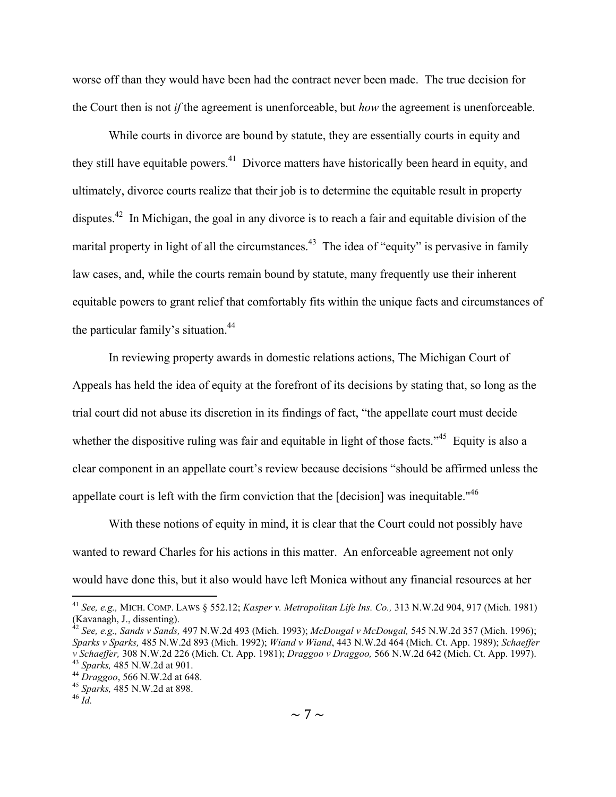worse off than they would have been had the contract never been made. The true decision for the Court then is not *if* the agreement is unenforceable, but *how* the agreement is unenforceable.

While courts in divorce are bound by statute, they are essentially courts in equity and they still have equitable powers.<sup>41</sup> Divorce matters have historically been heard in equity, and ultimately, divorce courts realize that their job is to determine the equitable result in property disputes.<sup>42</sup> In Michigan, the goal in any divorce is to reach a fair and equitable division of the marital property in light of all the circumstances.<sup>43</sup> The idea of "equity" is pervasive in family law cases, and, while the courts remain bound by statute, many frequently use their inherent equitable powers to grant relief that comfortably fits within the unique facts and circumstances of the particular family's situation.<sup>44</sup>

In reviewing property awards in domestic relations actions, The Michigan Court of Appeals has held the idea of equity at the forefront of its decisions by stating that, so long as the trial court did not abuse its discretion in its findings of fact, "the appellate court must decide whether the dispositive ruling was fair and equitable in light of those facts.<sup> $345$ </sup> Equity is also a clear component in an appellate court's review because decisions "should be affirmed unless the appellate court is left with the firm conviction that the [decision] was inequitable."46

With these notions of equity in mind, it is clear that the Court could not possibly have wanted to reward Charles for his actions in this matter. An enforceable agreement not only would have done this, but it also would have left Monica without any financial resources at her

 <sup>41</sup> *See, e.g.,* MICH. COMP. LAWS § 552.12; *Kasper v. Metropolitan Life Ins. Co.,* 313 N.W.2d 904, 917 (Mich. 1981) (Kavanagh, J., dissenting).

<sup>42</sup> *See, e.g., Sands v Sands,* 497 N.W.2d 493 (Mich. 1993); *McDougal v McDougal,* 545 N.W.2d 357 (Mich. 1996); *Sparks v Sparks,* 485 N.W.2d 893 (Mich. 1992); *Wiand v Wiand*, 443 N.W.2d 464 (Mich. Ct. App. 1989); *Schaeffer*  v Schaeffer, 308 N.W.2d 226 (Mich. Ct. App. 1981); *Draggoo v Draggoo*, 566 N.W.2d 642 (Mich. Ct. App. 1997).<br><sup>43</sup> Sparks, 485 N.W.2d at 901.<br><sup>44</sup> Draggoo, 566 N.W.2d at 648.<br><sup>45</sup> Sparks, 485 N.W.2d at 898.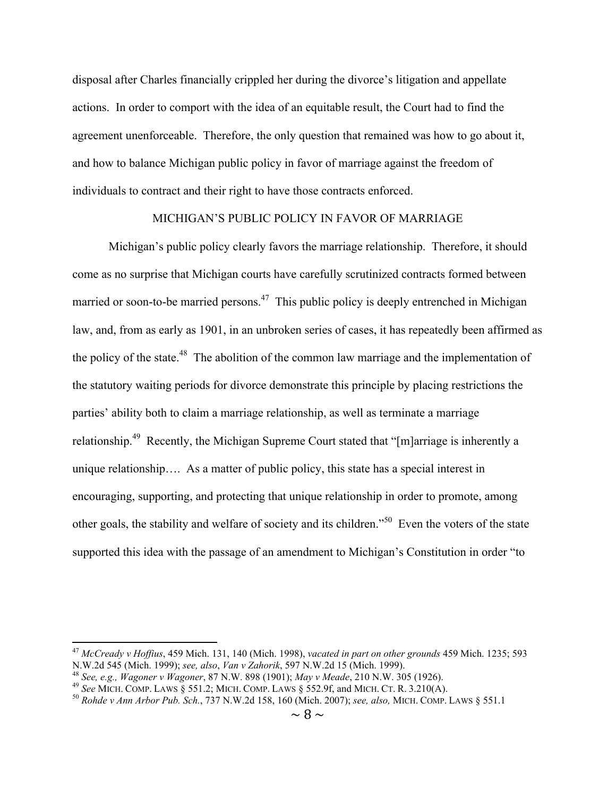disposal after Charles financially crippled her during the divorce's litigation and appellate actions. In order to comport with the idea of an equitable result, the Court had to find the agreement unenforceable. Therefore, the only question that remained was how to go about it, and how to balance Michigan public policy in favor of marriage against the freedom of individuals to contract and their right to have those contracts enforced.

# MICHIGAN'S PUBLIC POLICY IN FAVOR OF MARRIAGE

Michigan's public policy clearly favors the marriage relationship. Therefore, it should come as no surprise that Michigan courts have carefully scrutinized contracts formed between married or soon-to-be married persons.<sup>47</sup> This public policy is deeply entrenched in Michigan law, and, from as early as 1901, in an unbroken series of cases, it has repeatedly been affirmed as the policy of the state.<sup>48</sup> The abolition of the common law marriage and the implementation of the statutory waiting periods for divorce demonstrate this principle by placing restrictions the parties' ability both to claim a marriage relationship, as well as terminate a marriage relationship.49 Recently, the Michigan Supreme Court stated that "[m]arriage is inherently a unique relationship…. As a matter of public policy, this state has a special interest in encouraging, supporting, and protecting that unique relationship in order to promote, among other goals, the stability and welfare of society and its children."50 Even the voters of the state supported this idea with the passage of an amendment to Michigan's Constitution in order "to

 <sup>47</sup> *McCready v Hoffius*, 459 Mich. 131, 140 (Mich. 1998), *vacated in part on other grounds* 459 Mich. 1235; 593

<sup>&</sup>lt;sup>48</sup> See, e.g., Wagoner v Wagoner, 87 N.W. 898 (1901); May v Meade, 210 N.W. 305 (1926).<br><sup>49</sup> See MICH. COMP. LAWS § 551.2; MICH. COMP. LAWS § 552.9f, and MICH. CT. R. 3.210(A).<br><sup>50</sup> Rohde v Ann Arbor Pub. Sch., 737 N.W.2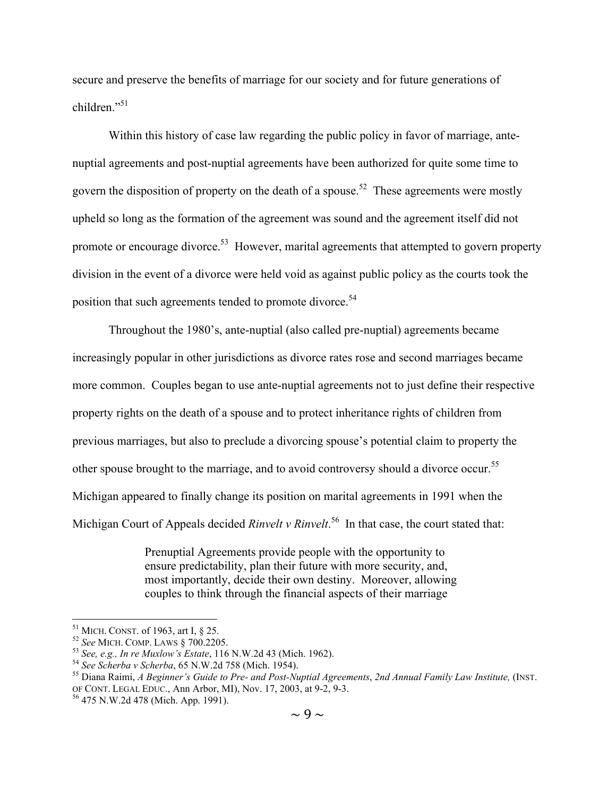secure and preserve the benefits of marriage for our society and for future generations of children<sup>"51</sup>

Within this history of case law regarding the public policy in favor of marriage, antenuptial agreements and post-nuptial agreements have been authorized for quite some time to govern the disposition of property on the death of a spouse.<sup>52</sup> These agreements were mostly upheld so long as the formation of the agreement was sound and the agreement itself did not promote or encourage divorce.<sup>53</sup> However, marital agreements that attempted to govern property division in the event of a divorce were held void as against public policy as the courts took the position that such agreements tended to promote divorce.<sup>54</sup>

Throughout the 1980's, ante-nuptial (also called pre-nuptial) agreements became increasingly popular in other jurisdictions as divorce rates rose and second marriages became more common. Couples began to use ante-nuptial agreements not to just define their respective property rights on the death of a spouse and to protect inheritance rights of children from previous marriages, but also to preclude a divorcing spouse's potential claim to property the other spouse brought to the marriage, and to avoid controversy should a divorce occur.<sup>55</sup> Michigan appeared to finally change its position on marital agreements in 1991 when the Michigan Court of Appeals decided *Rinvelt v Rinvelt*.<sup>56</sup> In that case, the court stated that:

> Prenuptial Agreements provide people with the opportunity to ensure predictability, plan their future with more security, and, most importantly, decide their own destiny. Moreover, allowing couples to think through the financial aspects of their marriage

<sup>&</sup>lt;sup>51</sup> MICH. CONST. of 1963, art I, § 25.<br>
<sup>52</sup> See MICH. COMP. LAWS § 700.2205.<br>
<sup>53</sup> See, e.g., In re Muxlow's Estate, 116 N.W.2d 43 (Mich. 1962).<br>
<sup>54</sup> See Scherba v Scherba, 65 N.W.2d 758 (Mich. 1954).<br>
<sup>55</sup> Diana Raimi OF CONT. LEGAL EDUC., Ann Arbor, MI), Nov. 17, 2003, at 9-2, 9-3. <sup>56</sup> 475 N.W.2d 478 (Mich. App. 1991).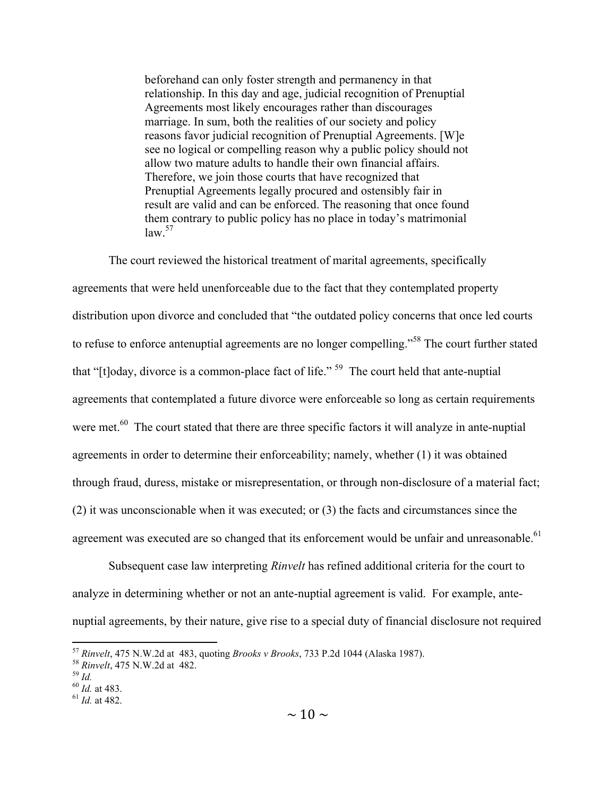beforehand can only foster strength and permanency in that relationship. In this day and age, judicial recognition of Prenuptial Agreements most likely encourages rather than discourages marriage. In sum, both the realities of our society and policy reasons favor judicial recognition of Prenuptial Agreements. [W]e see no logical or compelling reason why a public policy should not allow two mature adults to handle their own financial affairs. Therefore, we join those courts that have recognized that Prenuptial Agreements legally procured and ostensibly fair in result are valid and can be enforced. The reasoning that once found them contrary to public policy has no place in today's matrimonial law. 57

The court reviewed the historical treatment of marital agreements, specifically agreements that were held unenforceable due to the fact that they contemplated property distribution upon divorce and concluded that "the outdated policy concerns that once led courts to refuse to enforce antenuptial agreements are no longer compelling."58 The court further stated that "[t]oday, divorce is a common-place fact of life." 59 The court held that ante-nuptial agreements that contemplated a future divorce were enforceable so long as certain requirements were met.<sup>60</sup> The court stated that there are three specific factors it will analyze in ante-nuptial agreements in order to determine their enforceability; namely, whether (1) it was obtained through fraud, duress, mistake or misrepresentation, or through non-disclosure of a material fact; (2) it was unconscionable when it was executed; or (3) the facts and circumstances since the agreement was executed are so changed that its enforcement would be unfair and unreasonable.<sup>61</sup>

Subsequent case law interpreting *Rinvelt* has refined additional criteria for the court to analyze in determining whether or not an ante-nuptial agreement is valid. For example, antenuptial agreements, by their nature, give rise to a special duty of financial disclosure not required

<sup>57</sup> *Rinvelt*, 475 N.W.2d at 483, quoting *Brooks v Brooks*, 733 P.2d 1044 (Alaska 1987). <sup>58</sup> *Rinvelt*, 475 N.W.2d at 482. <sup>59</sup> *Id.* <sup>60</sup> *Id.* at 483. <sup>61</sup> *Id.* at 482.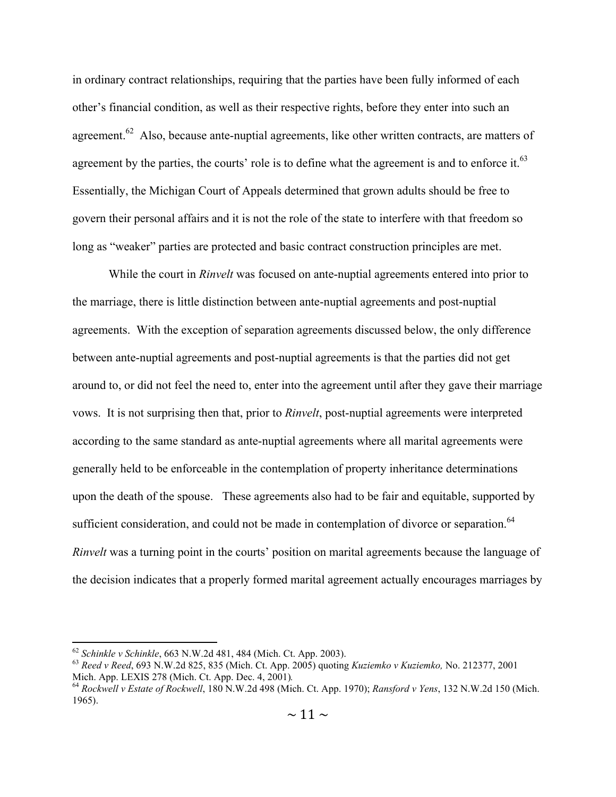in ordinary contract relationships, requiring that the parties have been fully informed of each other's financial condition, as well as their respective rights, before they enter into such an agreement.<sup>62</sup> Also, because ante-nuptial agreements, like other written contracts, are matters of agreement by the parties, the courts' role is to define what the agreement is and to enforce it.<sup>63</sup> Essentially, the Michigan Court of Appeals determined that grown adults should be free to govern their personal affairs and it is not the role of the state to interfere with that freedom so long as "weaker" parties are protected and basic contract construction principles are met.

While the court in *Rinvelt* was focused on ante-nuptial agreements entered into prior to the marriage, there is little distinction between ante-nuptial agreements and post-nuptial agreements. With the exception of separation agreements discussed below, the only difference between ante-nuptial agreements and post-nuptial agreements is that the parties did not get around to, or did not feel the need to, enter into the agreement until after they gave their marriage vows. It is not surprising then that, prior to *Rinvelt*, post-nuptial agreements were interpreted according to the same standard as ante-nuptial agreements where all marital agreements were generally held to be enforceable in the contemplation of property inheritance determinations upon the death of the spouse. These agreements also had to be fair and equitable, supported by sufficient consideration, and could not be made in contemplation of divorce or separation.<sup>64</sup> *Rinvelt* was a turning point in the courts' position on marital agreements because the language of the decision indicates that a properly formed marital agreement actually encourages marriages by

<sup>62</sup> *Schinkle v Schinkle*, 663 N.W.2d 481, 484 (Mich. Ct. App. 2003). <sup>63</sup> *Reed v Reed*, 693 N.W.2d 825, 835 (Mich. Ct. App. 2005) quoting *Kuziemko v Kuziemko,* No. 212377, 2001 Mich. App. LEXIS 278 (Mich. Ct. App. Dec. 4, 2001)*.* <sup>64</sup> *Rockwell v Estate of Rockwell*, 180 N.W.2d 498 (Mich. Ct. App. 1970); *Ransford v Yens*, 132 N.W.2d 150 (Mich.

<sup>1965).</sup>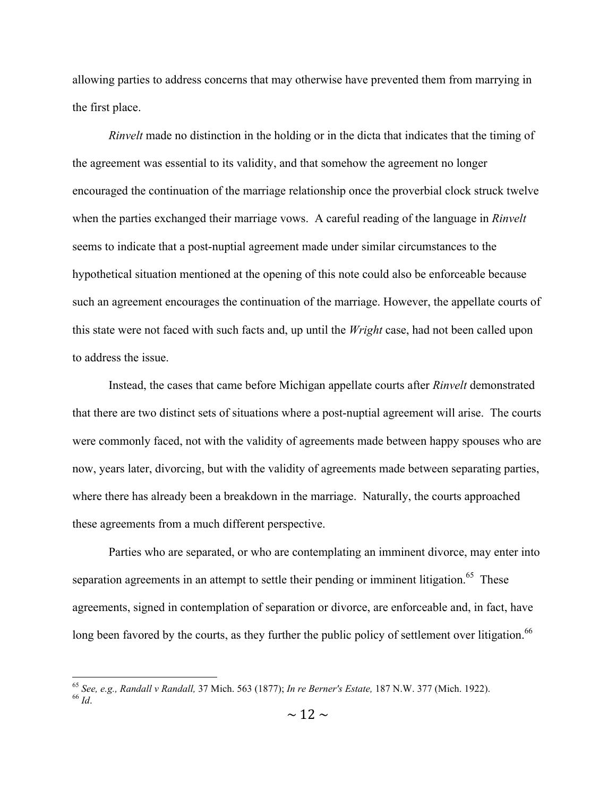allowing parties to address concerns that may otherwise have prevented them from marrying in the first place.

*Rinvelt* made no distinction in the holding or in the dicta that indicates that the timing of the agreement was essential to its validity, and that somehow the agreement no longer encouraged the continuation of the marriage relationship once the proverbial clock struck twelve when the parties exchanged their marriage vows. A careful reading of the language in *Rinvelt* seems to indicate that a post-nuptial agreement made under similar circumstances to the hypothetical situation mentioned at the opening of this note could also be enforceable because such an agreement encourages the continuation of the marriage. However, the appellate courts of this state were not faced with such facts and, up until the *Wright* case, had not been called upon to address the issue.

Instead, the cases that came before Michigan appellate courts after *Rinvelt* demonstrated that there are two distinct sets of situations where a post-nuptial agreement will arise. The courts were commonly faced, not with the validity of agreements made between happy spouses who are now, years later, divorcing, but with the validity of agreements made between separating parties, where there has already been a breakdown in the marriage. Naturally, the courts approached these agreements from a much different perspective.

Parties who are separated, or who are contemplating an imminent divorce, may enter into separation agreements in an attempt to settle their pending or imminent litigation.<sup>65</sup> These agreements, signed in contemplation of separation or divorce, are enforceable and, in fact, have long been favored by the courts, as they further the public policy of settlement over litigation.<sup>66</sup>

<sup>65</sup> *See, e.g., Randall v Randall,* 37 Mich. 563 (1877); *In re Berner's Estate,* 187 N.W. 377 (Mich. 1922). <sup>66</sup> *Id*.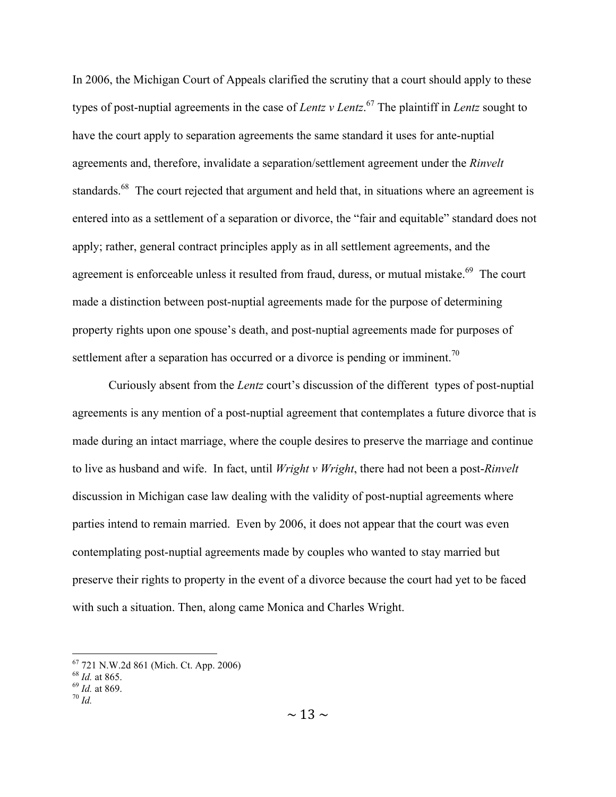In 2006, the Michigan Court of Appeals clarified the scrutiny that a court should apply to these types of post-nuptial agreements in the case of *Lentz v Lentz*. 67 The plaintiff in *Lentz* sought to have the court apply to separation agreements the same standard it uses for ante-nuptial agreements and, therefore, invalidate a separation/settlement agreement under the *Rinvelt* standards.<sup>68</sup> The court rejected that argument and held that, in situations where an agreement is entered into as a settlement of a separation or divorce, the "fair and equitable" standard does not apply; rather, general contract principles apply as in all settlement agreements, and the agreement is enforceable unless it resulted from fraud, duress, or mutual mistake.<sup>69</sup> The court made a distinction between post-nuptial agreements made for the purpose of determining property rights upon one spouse's death, and post-nuptial agreements made for purposes of settlement after a separation has occurred or a divorce is pending or imminent.<sup>70</sup>

Curiously absent from the *Lentz* court's discussion of the different types of post-nuptial agreements is any mention of a post-nuptial agreement that contemplates a future divorce that is made during an intact marriage, where the couple desires to preserve the marriage and continue to live as husband and wife. In fact, until *Wright v Wright*, there had not been a post-*Rinvelt* discussion in Michigan case law dealing with the validity of post-nuptial agreements where parties intend to remain married. Even by 2006, it does not appear that the court was even contemplating post-nuptial agreements made by couples who wanted to stay married but preserve their rights to property in the event of a divorce because the court had yet to be faced with such a situation. Then, along came Monica and Charles Wright.

<sup>67</sup> 721 N.W.2d 861 (Mich. Ct. App. 2006) <sup>68</sup> *Id.* at 865. <sup>69</sup> *Id.* at 869. <sup>70</sup> *Id.*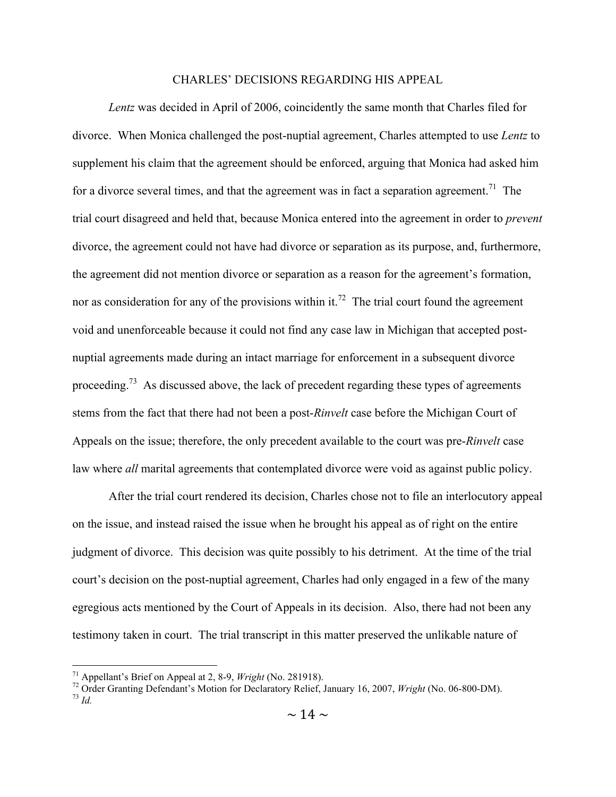#### CHARLES' DECISIONS REGARDING HIS APPEAL

*Lentz* was decided in April of 2006, coincidently the same month that Charles filed for divorce. When Monica challenged the post-nuptial agreement, Charles attempted to use *Lentz* to supplement his claim that the agreement should be enforced, arguing that Monica had asked him for a divorce several times, and that the agreement was in fact a separation agreement.<sup>71</sup> The trial court disagreed and held that, because Monica entered into the agreement in order to *prevent* divorce, the agreement could not have had divorce or separation as its purpose, and, furthermore, the agreement did not mention divorce or separation as a reason for the agreement's formation, nor as consideration for any of the provisions within it.<sup>72</sup> The trial court found the agreement void and unenforceable because it could not find any case law in Michigan that accepted postnuptial agreements made during an intact marriage for enforcement in a subsequent divorce proceeding.<sup>73</sup> As discussed above, the lack of precedent regarding these types of agreements stems from the fact that there had not been a post-*Rinvelt* case before the Michigan Court of Appeals on the issue; therefore, the only precedent available to the court was pre-*Rinvelt* case law where *all* marital agreements that contemplated divorce were void as against public policy.

After the trial court rendered its decision, Charles chose not to file an interlocutory appeal on the issue, and instead raised the issue when he brought his appeal as of right on the entire judgment of divorce. This decision was quite possibly to his detriment. At the time of the trial court's decision on the post-nuptial agreement, Charles had only engaged in a few of the many egregious acts mentioned by the Court of Appeals in its decision. Also, there had not been any testimony taken in court. The trial transcript in this matter preserved the unlikable nature of

 <sup>71</sup> Appellant's Brief on Appeal at 2, 8-9, *Wright* (No. 281918). 72 Order Granting Defendant's Motion for Declaratory Relief, January 16, 2007, *Wright* (No. 06-800-DM). <sup>73</sup> *Id.*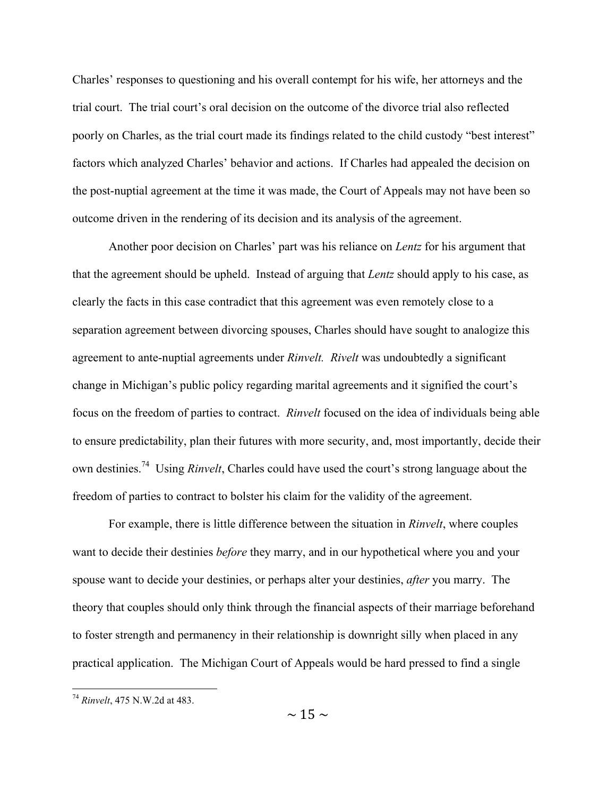Charles' responses to questioning and his overall contempt for his wife, her attorneys and the trial court. The trial court's oral decision on the outcome of the divorce trial also reflected poorly on Charles, as the trial court made its findings related to the child custody "best interest" factors which analyzed Charles' behavior and actions. If Charles had appealed the decision on the post-nuptial agreement at the time it was made, the Court of Appeals may not have been so outcome driven in the rendering of its decision and its analysis of the agreement.

Another poor decision on Charles' part was his reliance on *Lentz* for his argument that that the agreement should be upheld. Instead of arguing that *Lentz* should apply to his case, as clearly the facts in this case contradict that this agreement was even remotely close to a separation agreement between divorcing spouses, Charles should have sought to analogize this agreement to ante-nuptial agreements under *Rinvelt. Rivelt* was undoubtedly a significant change in Michigan's public policy regarding marital agreements and it signified the court's focus on the freedom of parties to contract. *Rinvelt* focused on the idea of individuals being able to ensure predictability, plan their futures with more security, and, most importantly, decide their own destinies.74 Using *Rinvelt*, Charles could have used the court's strong language about the freedom of parties to contract to bolster his claim for the validity of the agreement.

For example, there is little difference between the situation in *Rinvelt*, where couples want to decide their destinies *before* they marry, and in our hypothetical where you and your spouse want to decide your destinies, or perhaps alter your destinies, *after* you marry. The theory that couples should only think through the financial aspects of their marriage beforehand to foster strength and permanency in their relationship is downright silly when placed in any practical application. The Michigan Court of Appeals would be hard pressed to find a single

 <sup>74</sup> *Rinvelt*, 475 N.W.2d at 483.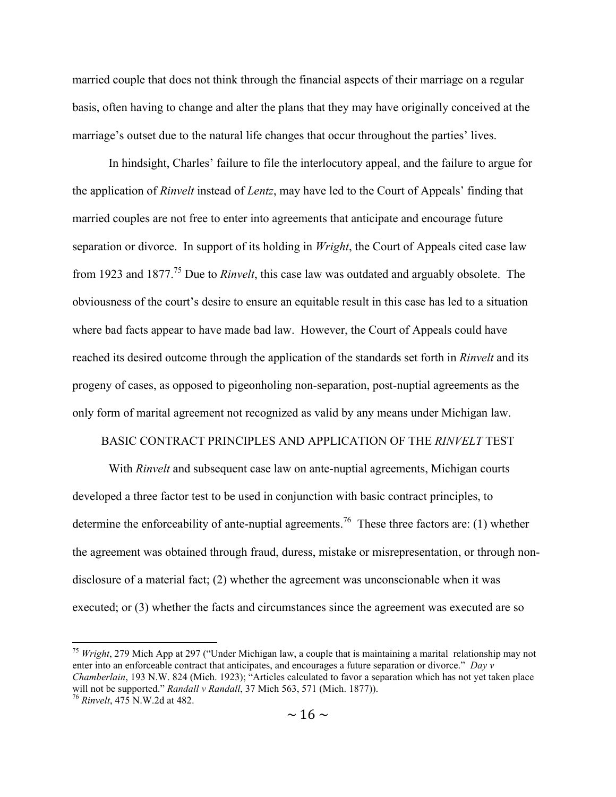married couple that does not think through the financial aspects of their marriage on a regular basis, often having to change and alter the plans that they may have originally conceived at the marriage's outset due to the natural life changes that occur throughout the parties' lives.

In hindsight, Charles' failure to file the interlocutory appeal, and the failure to argue for the application of *Rinvelt* instead of *Lentz*, may have led to the Court of Appeals' finding that married couples are not free to enter into agreements that anticipate and encourage future separation or divorce. In support of its holding in *Wright*, the Court of Appeals cited case law from 1923 and 1877.75 Due to *Rinvelt*, this case law was outdated and arguably obsolete. The obviousness of the court's desire to ensure an equitable result in this case has led to a situation where bad facts appear to have made bad law. However, the Court of Appeals could have reached its desired outcome through the application of the standards set forth in *Rinvelt* and its progeny of cases, as opposed to pigeonholing non-separation, post-nuptial agreements as the only form of marital agreement not recognized as valid by any means under Michigan law.

#### BASIC CONTRACT PRINCIPLES AND APPLICATION OF THE *RINVELT* TEST

With *Rinvelt* and subsequent case law on ante-nuptial agreements, Michigan courts developed a three factor test to be used in conjunction with basic contract principles, to determine the enforceability of ante-nuptial agreements.<sup>76</sup> These three factors are: (1) whether the agreement was obtained through fraud, duress, mistake or misrepresentation, or through nondisclosure of a material fact; (2) whether the agreement was unconscionable when it was executed; or (3) whether the facts and circumstances since the agreement was executed are so

 <sup>75</sup> *Wright*, 279 Mich App at 297 ("Under Michigan law, a couple that is maintaining a marital relationship may not enter into an enforceable contract that anticipates, and encourages a future separation or divorce." *Day v Chamberlain*, 193 N.W. 824 (Mich. 1923); "Articles calculated to favor a separation which has not yet taken place will not be supported." *Randall v Randall*, 37 Mich 563, 571 (Mich. 1877)). <sup>76</sup> *Rinvelt*, 475 N.W.2d at 482.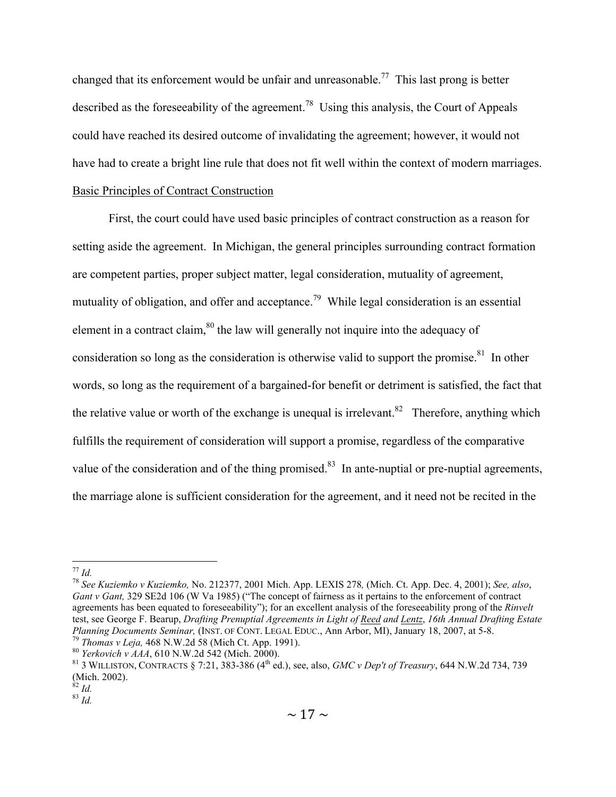changed that its enforcement would be unfair and unreasonable.<sup>77</sup> This last prong is better described as the foreseeability of the agreement.<sup>78</sup> Using this analysis, the Court of Appeals could have reached its desired outcome of invalidating the agreement; however, it would not have had to create a bright line rule that does not fit well within the context of modern marriages. Basic Principles of Contract Construction

First, the court could have used basic principles of contract construction as a reason for setting aside the agreement. In Michigan, the general principles surrounding contract formation are competent parties, proper subject matter, legal consideration, mutuality of agreement, mutuality of obligation, and offer and acceptance.<sup>79</sup> While legal consideration is an essential element in a contract claim, $80$  the law will generally not inquire into the adequacy of consideration so long as the consideration is otherwise valid to support the promise.<sup>81</sup> In other words, so long as the requirement of a bargained-for benefit or detriment is satisfied, the fact that the relative value or worth of the exchange is unequal is irrelevant.<sup>82</sup> Therefore, anything which fulfills the requirement of consideration will support a promise, regardless of the comparative value of the consideration and of the thing promised.<sup>83</sup> In ante-nuptial or pre-nuptial agreements, the marriage alone is sufficient consideration for the agreement, and it need not be recited in the

<sup>77</sup> *Id.* <sup>78</sup> *See Kuziemko v Kuziemko,* No. 212377, 2001 Mich. App. LEXIS 278*,* (Mich. Ct. App. Dec. 4, 2001); *See, also*, *Gant v Gant,* 329 SE2d 106 (W Va 1985) ("The concept of fairness as it pertains to the enforcement of contract agreements has been equated to foreseeability"); for an excellent analysis of the foreseeability prong of the *Rinvelt*  test, see George F. Bearup, *Drafting Prenuptial Agreements in Light of Reed and Lentz*, *16th Annual Drafting Estate* 

<sup>&</sup>lt;sup>79</sup> Thomas v Leja, 468 N.W.2d 58 (Mich Ct. App. 1991).<br><sup>80</sup> Yerkovich v AAA, 610 N.W.2d 542 (Mich. 2000).<br><sup>81</sup> 3 WILLISTON, CONTRACTS § 7:21, 383-386 (4<sup>th</sup> ed.), see, also, *GMC v Dep't of Treasury*, 644 N.W.2d 734, 739 (Mich. 2002).<br><sup>82</sup> *Id.* 83 *Id.*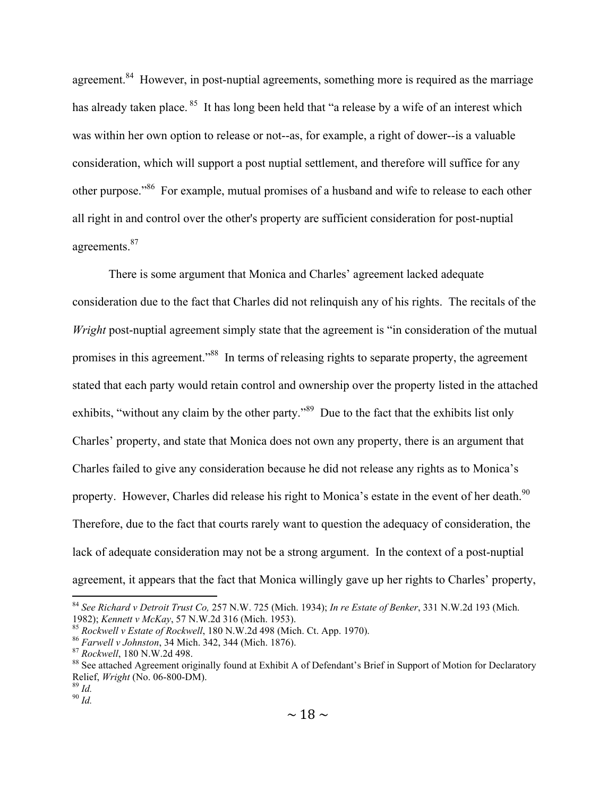agreement.<sup>84</sup> However, in post-nuptial agreements, something more is required as the marriage has already taken place.<sup>85</sup> It has long been held that "a release by a wife of an interest which was within her own option to release or not--as, for example, a right of dower--is a valuable consideration, which will support a post nuptial settlement, and therefore will suffice for any other purpose."86 For example, mutual promises of a husband and wife to release to each other all right in and control over the other's property are sufficient consideration for post-nuptial agreements.<sup>87</sup>

There is some argument that Monica and Charles' agreement lacked adequate consideration due to the fact that Charles did not relinquish any of his rights. The recitals of the *Wright* post-nuptial agreement simply state that the agreement is "in consideration of the mutual promises in this agreement."88 In terms of releasing rights to separate property, the agreement stated that each party would retain control and ownership over the property listed in the attached exhibits, "without any claim by the other party."<sup>89</sup> Due to the fact that the exhibits list only Charles' property, and state that Monica does not own any property, there is an argument that Charles failed to give any consideration because he did not release any rights as to Monica's property. However, Charles did release his right to Monica's estate in the event of her death.<sup>90</sup> Therefore, due to the fact that courts rarely want to question the adequacy of consideration, the lack of adequate consideration may not be a strong argument. In the context of a post-nuptial agreement, it appears that the fact that Monica willingly gave up her rights to Charles' property,

 <sup>84</sup> *See Richard v Detroit Trust Co,* 257 N.W. 725 (Mich. 1934); *In re Estate of Benker*, 331 N.W.2d 193 (Mich. 1982); *Kennett v McKay*, 57 N.W.2d 316 (Mich. 1953).<br><sup>85</sup> Rockwell v Estate of Rockwell, 180 N.W.2d 498 (Mich. Ct. App. 1970).<br><sup>86</sup> Farwell v Johnston, 34 Mich. 342, 344 (Mich. 1876).<br><sup>87</sup> Rockwell, 180 N.W.2d 498.<br><sup>88</sup>

Relief, *Wright* (No. 06-800-DM). <sup>89</sup> *Id.* <sup>90</sup> *Id.*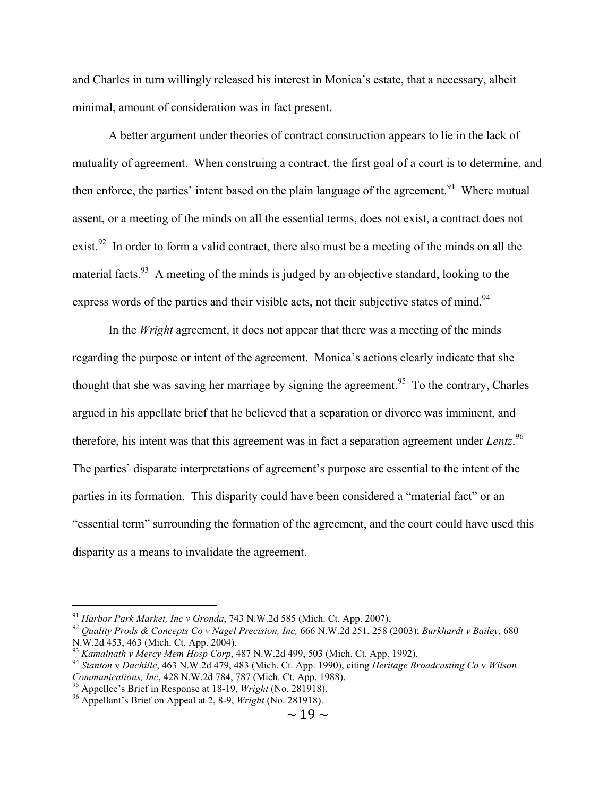and Charles in turn willingly released his interest in Monica's estate, that a necessary, albeit minimal, amount of consideration was in fact present.

A better argument under theories of contract construction appears to lie in the lack of mutuality of agreement. When construing a contract, the first goal of a court is to determine, and then enforce, the parties' intent based on the plain language of the agreement.<sup>91</sup> Where mutual assent, or a meeting of the minds on all the essential terms, does not exist, a contract does not exist.<sup>92</sup> In order to form a valid contract, there also must be a meeting of the minds on all the material facts.<sup>93</sup> A meeting of the minds is judged by an objective standard, looking to the express words of the parties and their visible acts, not their subjective states of mind.<sup>94</sup>

In the *Wright* agreement, it does not appear that there was a meeting of the minds regarding the purpose or intent of the agreement. Monica's actions clearly indicate that she thought that she was saving her marriage by signing the agreement.<sup>95</sup> To the contrary, Charles argued in his appellate brief that he believed that a separation or divorce was imminent, and therefore, his intent was that this agreement was in fact a separation agreement under *Lentz*. 96 The parties' disparate interpretations of agreement's purpose are essential to the intent of the parties in its formation. This disparity could have been considered a "material fact" or an "essential term" surrounding the formation of the agreement, and the court could have used this disparity as a means to invalidate the agreement.

<sup>&</sup>lt;sup>91</sup> *Harbor Park Market, Inc v Gronda*, 743 N.W.2d 585 (Mich. Ct. App. 2007).<br><sup>92</sup> *Quality Prods & Concepts Co v Nagel Precision, Inc, 666 N.W.2d 251, 258 (2003); <i>Burkhardt v Bailey, 680* N.W.2d 453, 463 (Mich. Ct. App.

<sup>&</sup>lt;sup>93</sup> Kamalnath v Mercy Mem Hosp Corp., 487 N.W.2d 499, 503 (Mich. Ct. App. 1992).<br><sup>94</sup> Stanton v Dachille, 463 N.W.2d 479, 483 (Mich. Ct. App. 1990), citing Heritage Broadcasting Co v Wilson *Communications, Inc.* 428 N.W.2d 784, 787 (Mich. Ct. App. 1988).<br><sup>95</sup> Appellee's Brief in Response at 18-19, *Wright* (No. 281918).<br><sup>96</sup> Appellant's Brief on Appeal at 2, 8-9, *Wright* (No. 281918).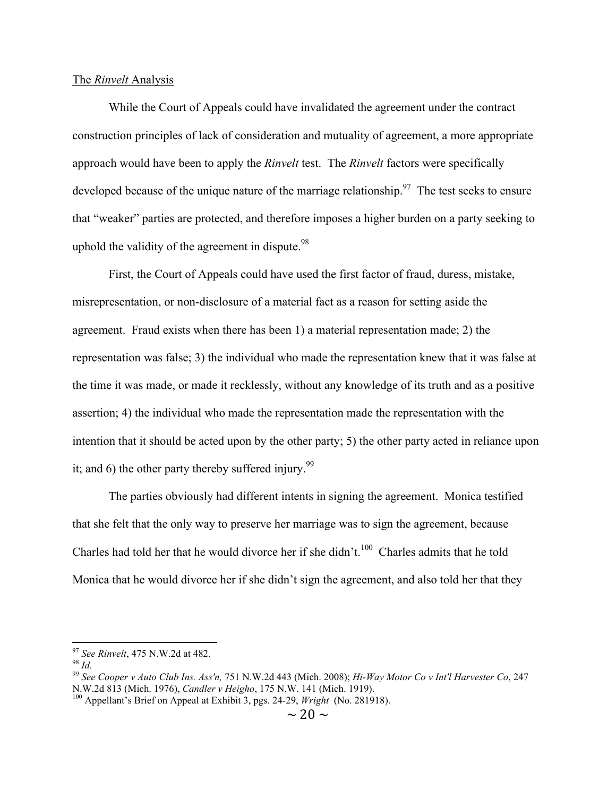#### The *Rinvelt* Analysis

While the Court of Appeals could have invalidated the agreement under the contract construction principles of lack of consideration and mutuality of agreement, a more appropriate approach would have been to apply the *Rinvelt* test. The *Rinvelt* factors were specifically developed because of the unique nature of the marriage relationship.<sup>97</sup> The test seeks to ensure that "weaker" parties are protected, and therefore imposes a higher burden on a party seeking to uphold the validity of the agreement in dispute.  $98$ 

First, the Court of Appeals could have used the first factor of fraud, duress, mistake, misrepresentation, or non-disclosure of a material fact as a reason for setting aside the agreement. Fraud exists when there has been 1) a material representation made; 2) the representation was false; 3) the individual who made the representation knew that it was false at the time it was made, or made it recklessly, without any knowledge of its truth and as a positive assertion; 4) the individual who made the representation made the representation with the intention that it should be acted upon by the other party; 5) the other party acted in reliance upon it; and 6) the other party thereby suffered injury.<sup>99</sup>

The parties obviously had different intents in signing the agreement. Monica testified that she felt that the only way to preserve her marriage was to sign the agreement, because Charles had told her that he would divorce her if she didn't.<sup>100</sup> Charles admits that he told Monica that he would divorce her if she didn't sign the agreement, and also told her that they

<sup>&</sup>lt;sup>97</sup> *See Rinvelt*, 475 N.W.2d at 482.<br><sup>98</sup> *Id.* 99 *See Cooper v Auto Club Ins. Ass'n*, 751 N.W.2d 443 (Mich. 2008); *Hi-Way Motor Co v Int'l Harvester Co*, 247 N.W.2d 813 (Mich. 1976), *Candler v Heigho*, 175 N.W. 141 (

<sup>&</sup>lt;sup>100</sup> Appellant's Brief on Appeal at Exhibit 3, pgs. 24-29, *Wright* (No. 281918).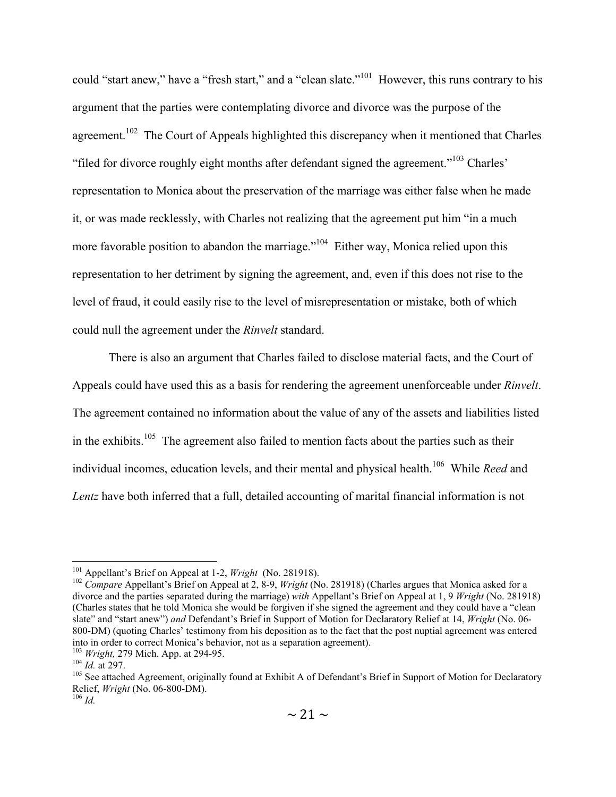could "start anew," have a "fresh start," and a "clean slate."<sup>101</sup> However, this runs contrary to his argument that the parties were contemplating divorce and divorce was the purpose of the agreement.<sup>102</sup> The Court of Appeals highlighted this discrepancy when it mentioned that Charles "filed for divorce roughly eight months after defendant signed the agreement."103 Charles' representation to Monica about the preservation of the marriage was either false when he made it, or was made recklessly, with Charles not realizing that the agreement put him "in a much more favorable position to abandon the marriage."<sup>104</sup> Either way, Monica relied upon this representation to her detriment by signing the agreement, and, even if this does not rise to the level of fraud, it could easily rise to the level of misrepresentation or mistake, both of which could null the agreement under the *Rinvelt* standard.

There is also an argument that Charles failed to disclose material facts, and the Court of Appeals could have used this as a basis for rendering the agreement unenforceable under *Rinvelt*. The agreement contained no information about the value of any of the assets and liabilities listed in the exhibits.<sup>105</sup> The agreement also failed to mention facts about the parties such as their individual incomes, education levels, and their mental and physical health.<sup>106</sup> While *Reed* and *Lentz* have both inferred that a full, detailed accounting of marital financial information is not

<sup>&</sup>lt;sup>101</sup> Appellant's Brief on Appeal at 1-2, *Wright* (No. 281918).<br><sup>102</sup> *Compare* Appellant's Brief on Appeal at 2, 8-9, *Wright* (No. 281918) (Charles argues that Monica asked for a divorce and the parties separated during the marriage) *with* Appellant's Brief on Appeal at 1, 9 *Wright* (No. 281918) (Charles states that he told Monica she would be forgiven if she signed the agreement and they could have a "clean slate" and "start anew") *and* Defendant's Brief in Support of Motion for Declaratory Relief at 14, *Wright* (No. 06- 800-DM) (quoting Charles' testimony from his deposition as to the fact that the post nuptial agreement was entered into in order to correct Monica's behavior, not as a separation agreement).<br>
<sup>103</sup> *Wright*, 279 Mich. App. at 294-95.<br>
<sup>104</sup> *Id.* at 297.<br>
<sup>105</sup> See attached Agreement, originally found at Exhibit A of Defendant's Brief

Relief, *Wright* (No. 06-800-DM). <sup>106</sup> *Id.*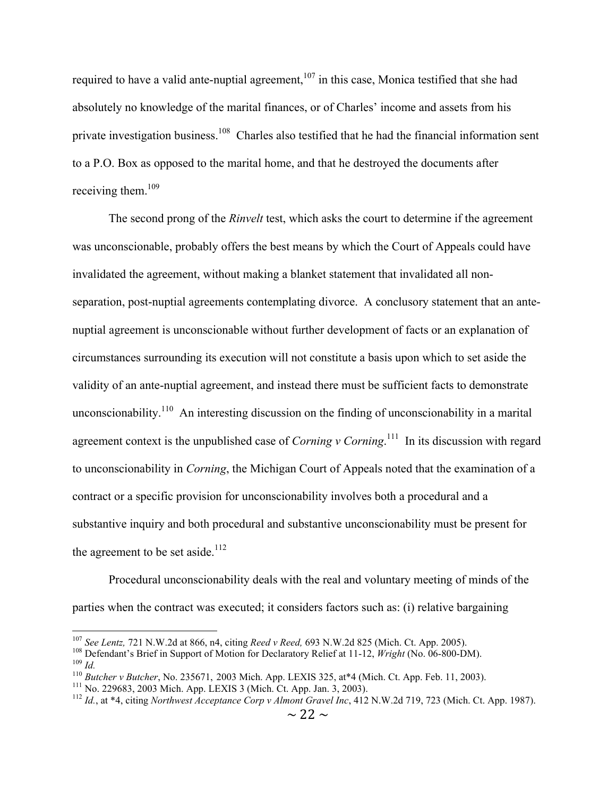required to have a valid ante-nuptial agreement, $107$  in this case, Monica testified that she had absolutely no knowledge of the marital finances, or of Charles' income and assets from his private investigation business.<sup>108</sup> Charles also testified that he had the financial information sent to a P.O. Box as opposed to the marital home, and that he destroyed the documents after receiving them. $109$ 

The second prong of the *Rinvelt* test, which asks the court to determine if the agreement was unconscionable, probably offers the best means by which the Court of Appeals could have invalidated the agreement, without making a blanket statement that invalidated all nonseparation, post-nuptial agreements contemplating divorce. A conclusory statement that an antenuptial agreement is unconscionable without further development of facts or an explanation of circumstances surrounding its execution will not constitute a basis upon which to set aside the validity of an ante-nuptial agreement, and instead there must be sufficient facts to demonstrate unconscionability.<sup>110</sup> An interesting discussion on the finding of unconscionability in a marital agreement context is the unpublished case of *Corning v Corning*. <sup>111</sup> In its discussion with regard to unconscionability in *Corning*, the Michigan Court of Appeals noted that the examination of a contract or a specific provision for unconscionability involves both a procedural and a substantive inquiry and both procedural and substantive unconscionability must be present for the agreement to be set aside. $112$ 

Procedural unconscionability deals with the real and voluntary meeting of minds of the parties when the contract was executed; it considers factors such as: (i) relative bargaining

<sup>&</sup>lt;sup>107</sup> See Lentz, 721 N.W.2d at 866, n4, citing *Reed v Reed*, 693 N.W.2d 825 (Mich. Ct. App. 2005).<br><sup>108</sup> Defendant's Brief in Support of Motion for Declaratory Relief at 11-12, *Wright* (No. 06-800-DM).<br><sup>109</sup> Id.<br><sup>110</sup> B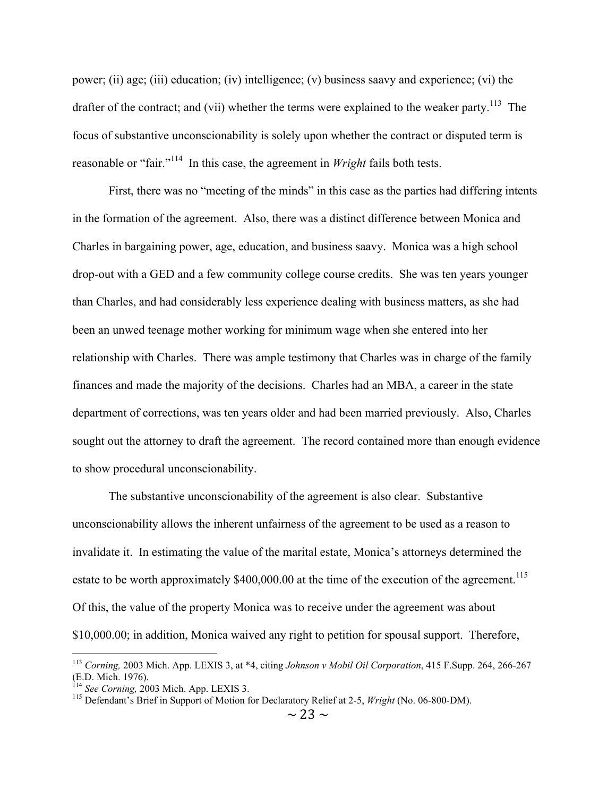power; (ii) age; (iii) education; (iv) intelligence; (v) business saavy and experience; (vi) the drafter of the contract; and (vii) whether the terms were explained to the weaker party.<sup>113</sup> The focus of substantive unconscionability is solely upon whether the contract or disputed term is reasonable or "fair."114 In this case, the agreement in *Wright* fails both tests.

First, there was no "meeting of the minds" in this case as the parties had differing intents in the formation of the agreement. Also, there was a distinct difference between Monica and Charles in bargaining power, age, education, and business saavy. Monica was a high school drop-out with a GED and a few community college course credits. She was ten years younger than Charles, and had considerably less experience dealing with business matters, as she had been an unwed teenage mother working for minimum wage when she entered into her relationship with Charles. There was ample testimony that Charles was in charge of the family finances and made the majority of the decisions. Charles had an MBA, a career in the state department of corrections, was ten years older and had been married previously. Also, Charles sought out the attorney to draft the agreement. The record contained more than enough evidence to show procedural unconscionability.

The substantive unconscionability of the agreement is also clear. Substantive unconscionability allows the inherent unfairness of the agreement to be used as a reason to invalidate it. In estimating the value of the marital estate, Monica's attorneys determined the estate to be worth approximately  $$400,000.00$  at the time of the execution of the agreement.<sup>115</sup> Of this, the value of the property Monica was to receive under the agreement was about \$10,000.00; in addition, Monica waived any right to petition for spousal support. Therefore,

 <sup>113</sup> *Corning,* 2003 Mich. App. LEXIS 3, at \*4, citing *Johnson v Mobil Oil Corporation*, 415 F.Supp. 264, 266-267 (E.D. Mich. 1976). <sup>114</sup> *See Corning,* 2003 Mich. App. LEXIS 3. 115 Defendant's Brief in Support of Motion for Declaratory Relief at 2-5, *Wright* (No. 06-800-DM).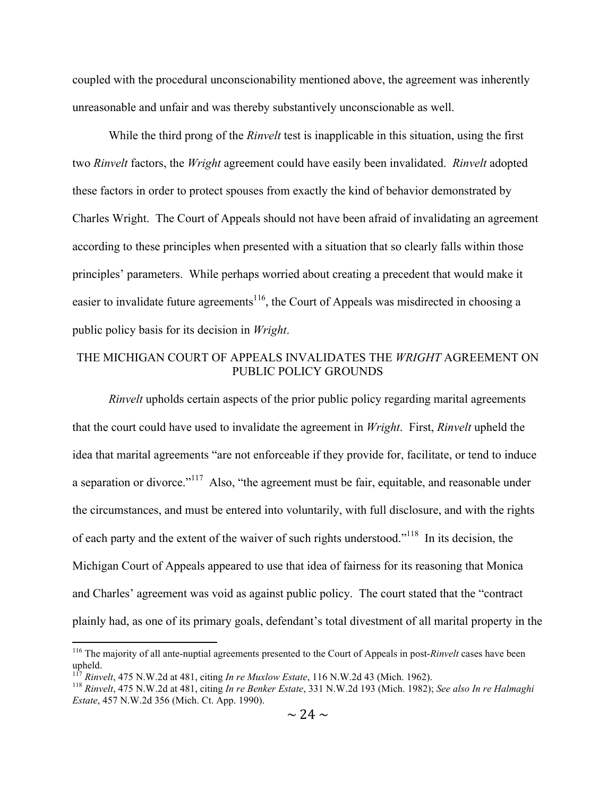coupled with the procedural unconscionability mentioned above, the agreement was inherently unreasonable and unfair and was thereby substantively unconscionable as well.

While the third prong of the *Rinvelt* test is inapplicable in this situation, using the first two *Rinvelt* factors, the *Wright* agreement could have easily been invalidated. *Rinvelt* adopted these factors in order to protect spouses from exactly the kind of behavior demonstrated by Charles Wright. The Court of Appeals should not have been afraid of invalidating an agreement according to these principles when presented with a situation that so clearly falls within those principles' parameters. While perhaps worried about creating a precedent that would make it easier to invalidate future agreements<sup>116</sup>, the Court of Appeals was misdirected in choosing a public policy basis for its decision in *Wright*.

# THE MICHIGAN COURT OF APPEALS INVALIDATES THE *WRIGHT* AGREEMENT ON PUBLIC POLICY GROUNDS

*Rinvelt* upholds certain aspects of the prior public policy regarding marital agreements that the court could have used to invalidate the agreement in *Wright*. First, *Rinvelt* upheld the idea that marital agreements "are not enforceable if they provide for, facilitate, or tend to induce a separation or divorce."<sup>117</sup> Also, "the agreement must be fair, equitable, and reasonable under the circumstances, and must be entered into voluntarily, with full disclosure, and with the rights of each party and the extent of the waiver of such rights understood."<sup>118</sup> In its decision, the Michigan Court of Appeals appeared to use that idea of fairness for its reasoning that Monica and Charles' agreement was void as against public policy. The court stated that the "contract plainly had, as one of its primary goals, defendant's total divestment of all marital property in the

 <sup>116</sup> The majority of all ante-nuptial agreements presented to the Court of Appeals in post-*Rinvelt* cases have been upheld.<br><sup>117</sup> Rinvelt, 475 N.W.2d at 481, citing *In re Muxlow Estate*, 116 N.W.2d 43 (Mich. 1962).

<sup>&</sup>lt;sup>118</sup> Rinvelt, 475 N.W.2d at 481, citing In re Benker Estate, 331 N.W.2d 193 (Mich. 1982); See also In re Halmaghi *Estate*, 457 N.W.2d 356 (Mich. Ct. App. 1990).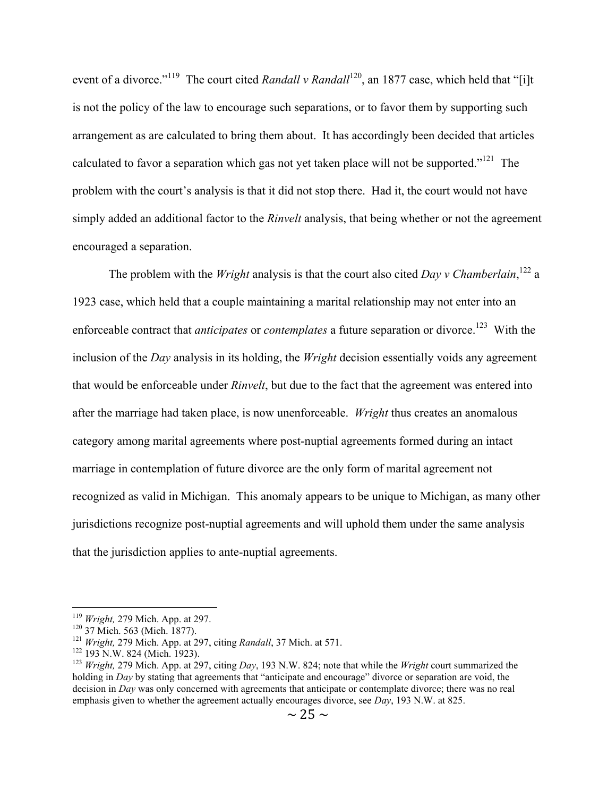event of a divorce."<sup>119</sup> The court cited *Randall v Randall*<sup>120</sup>, an 1877 case, which held that "[i]t is not the policy of the law to encourage such separations, or to favor them by supporting such arrangement as are calculated to bring them about. It has accordingly been decided that articles calculated to favor a separation which gas not yet taken place will not be supported."<sup>121</sup> The problem with the court's analysis is that it did not stop there. Had it, the court would not have simply added an additional factor to the *Rinvelt* analysis, that being whether or not the agreement encouraged a separation.

The problem with the *Wright* analysis is that the court also cited *Day v Chamberlain*,<sup>122</sup> a 1923 case, which held that a couple maintaining a marital relationship may not enter into an enforceable contract that *anticipates* or *contemplates* a future separation or divorce.<sup>123</sup> With the inclusion of the *Day* analysis in its holding, the *Wright* decision essentially voids any agreement that would be enforceable under *Rinvelt*, but due to the fact that the agreement was entered into after the marriage had taken place, is now unenforceable. *Wright* thus creates an anomalous category among marital agreements where post-nuptial agreements formed during an intact marriage in contemplation of future divorce are the only form of marital agreement not recognized as valid in Michigan. This anomaly appears to be unique to Michigan, as many other jurisdictions recognize post-nuptial agreements and will uphold them under the same analysis that the jurisdiction applies to ante-nuptial agreements.

<sup>&</sup>lt;sup>119</sup> Wright, 279 Mich. App. at 297.<br><sup>120</sup> 37 Mich. 563 (Mich. 1877).<br><sup>121</sup> Wright, 279 Mich. App. at 297, citing *Randall*, 37 Mich. at 571.<br><sup>121</sup> 193 N.W. 824 (Mich. 1923).<br><sup>123</sup> Wright, 279 Mich. App. at 297, citing *D* holding in *Day* by stating that agreements that "anticipate and encourage" divorce or separation are void, the decision in *Day* was only concerned with agreements that anticipate or contemplate divorce; there was no real emphasis given to whether the agreement actually encourages divorce, see *Day*, 193 N.W. at 825.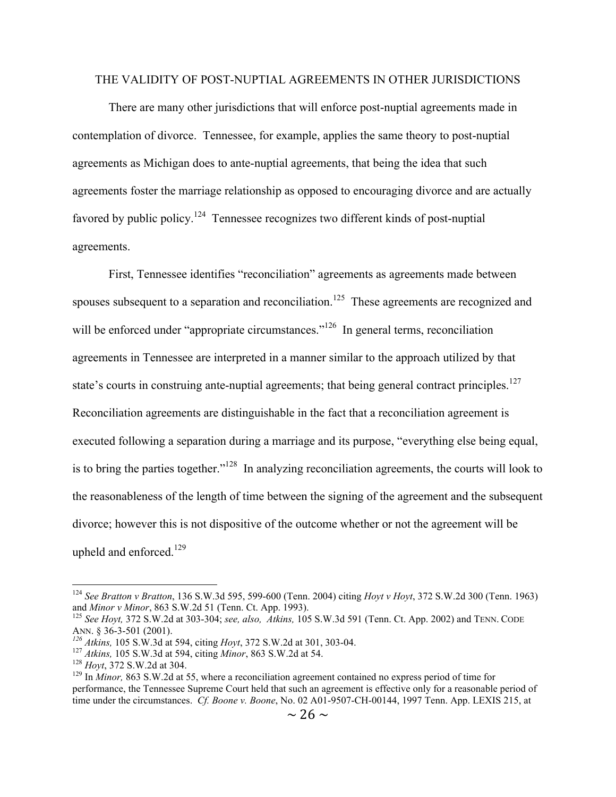## THE VALIDITY OF POST-NUPTIAL AGREEMENTS IN OTHER JURISDICTIONS

There are many other jurisdictions that will enforce post-nuptial agreements made in contemplation of divorce. Tennessee, for example, applies the same theory to post-nuptial agreements as Michigan does to ante-nuptial agreements, that being the idea that such agreements foster the marriage relationship as opposed to encouraging divorce and are actually favored by public policy.<sup>124</sup> Tennessee recognizes two different kinds of post-nuptial agreements.

First, Tennessee identifies "reconciliation" agreements as agreements made between spouses subsequent to a separation and reconciliation.<sup>125</sup> These agreements are recognized and will be enforced under "appropriate circumstances."<sup>126</sup> In general terms, reconciliation agreements in Tennessee are interpreted in a manner similar to the approach utilized by that state's courts in construing ante-nuptial agreements; that being general contract principles.<sup>127</sup> Reconciliation agreements are distinguishable in the fact that a reconciliation agreement is executed following a separation during a marriage and its purpose, "everything else being equal, is to bring the parties together."128 In analyzing reconciliation agreements, the courts will look to the reasonableness of the length of time between the signing of the agreement and the subsequent divorce; however this is not dispositive of the outcome whether or not the agreement will be upheld and enforced. $129$ 

 <sup>124</sup> *See Bratton v Bratton*, 136 S.W.3d 595, 599-600 (Tenn. 2004) citing *Hoyt v Hoyt*, 372 S.W.2d 300 (Tenn. 1963)

and *Minor v Minor*, 863 S.W.2d 51 (Tenn. Ct. App. 1993).<br><sup>125</sup> *See Hoyt*, 372 S.W.2d at 303-304; *see, also, Atkins*, 105 S.W.3d 591 (Tenn. Ct. App. 2002) and TENN. CODE ANN. § 36-3-501 (2001).

<sup>&</sup>lt;sup>126</sup> Atkins, 105 S.W.3d at 594, citing *Hoyt*, 372 S.W.2d at 301, 303-04.<br><sup>127</sup> Atkins, 105 S.W.3d at 594, citing *Minor*, 863 S.W.2d at 54.<br><sup>128</sup> Hoyt, 372 S.W.2d at 304.<br><sup>129</sup> In *Minor*, 863 S.W.2d at 55, where a reco performance, the Tennessee Supreme Court held that such an agreement is effective only for a reasonable period of time under the circumstances. *Cf. Boone v. Boone*, No. 02 A01-9507-CH-00144, 1997 Tenn. App. LEXIS 215, at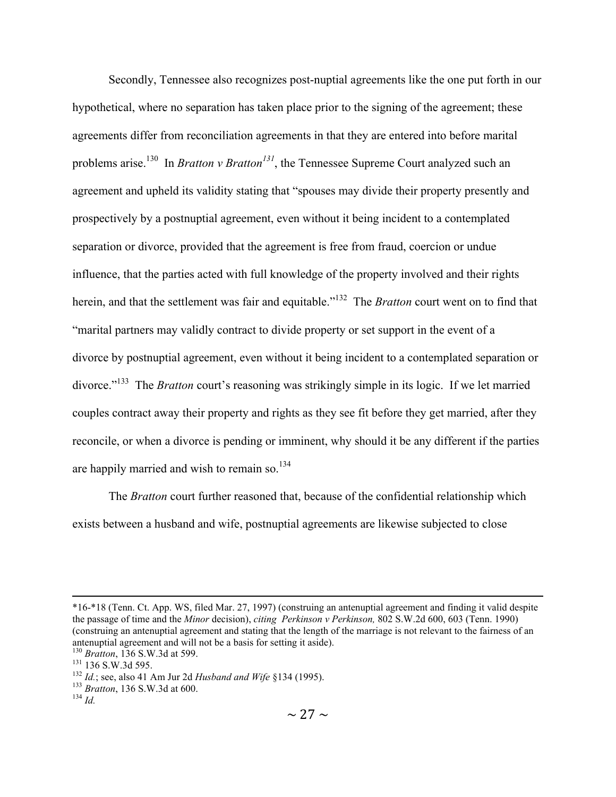Secondly, Tennessee also recognizes post-nuptial agreements like the one put forth in our hypothetical, where no separation has taken place prior to the signing of the agreement; these agreements differ from reconciliation agreements in that they are entered into before marital problems arise.<sup>130</sup> In *Bratton v Bratton<sup>131</sup>*, the Tennessee Supreme Court analyzed such an agreement and upheld its validity stating that "spouses may divide their property presently and prospectively by a postnuptial agreement, even without it being incident to a contemplated separation or divorce, provided that the agreement is free from fraud, coercion or undue influence, that the parties acted with full knowledge of the property involved and their rights herein, and that the settlement was fair and equitable.<sup>"132</sup> The *Bratton* court went on to find that "marital partners may validly contract to divide property or set support in the event of a divorce by postnuptial agreement, even without it being incident to a contemplated separation or divorce."<sup>133</sup> The *Bratton* court's reasoning was strikingly simple in its logic. If we let married couples contract away their property and rights as they see fit before they get married, after they reconcile, or when a divorce is pending or imminent, why should it be any different if the parties are happily married and wish to remain so. $134$ 

The *Bratton* court further reasoned that, because of the confidential relationship which exists between a husband and wife, postnuptial agreements are likewise subjected to close

 <sup>\*16-\*18 (</sup>Tenn. Ct. App. WS, filed Mar. 27, 1997) (construing an antenuptial agreement and finding it valid despite the passage of time and the *Minor* decision), *citing Perkinson v Perkinson,* 802 S.W.2d 600, 603 (Tenn. 1990) (construing an antenuptial agreement and stating that the length of the marriage is not relevant to the fairness of an antenuptial agreement and will not be a basis for setting it aside).<br><sup>130</sup> Bratton, 136 S.W.3d at 599.

<sup>131 136</sup> S.W.3d 595.<br>
<sup>132</sup> *Id.*; see, also 41 Am Jur 2d *Husband and Wife* §134 (1995).<br>
<sup>133</sup> *Bratton*, 136 S.W.3d at 600.<br>
<sup>134</sup> *Id*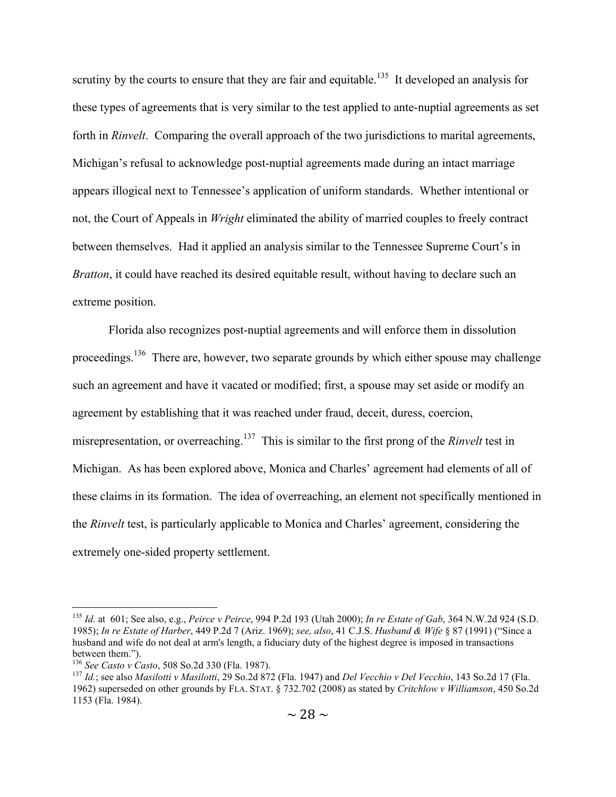scrutiny by the courts to ensure that they are fair and equitable.<sup>135</sup> It developed an analysis for these types of agreements that is very similar to the test applied to ante-nuptial agreements as set forth in *Rinvelt*. Comparing the overall approach of the two jurisdictions to marital agreements, Michigan's refusal to acknowledge post-nuptial agreements made during an intact marriage appears illogical next to Tennessee's application of uniform standards. Whether intentional or not, the Court of Appeals in *Wright* eliminated the ability of married couples to freely contract between themselves. Had it applied an analysis similar to the Tennessee Supreme Court's in *Bratton*, it could have reached its desired equitable result, without having to declare such an extreme position.

Florida also recognizes post-nuptial agreements and will enforce them in dissolution proceedings.<sup>136</sup> There are, however, two separate grounds by which either spouse may challenge such an agreement and have it vacated or modified; first, a spouse may set aside or modify an agreement by establishing that it was reached under fraud, deceit, duress, coercion, misrepresentation, or overreaching.137 This is similar to the first prong of the *Rinvelt* test in Michigan. As has been explored above, Monica and Charles' agreement had elements of all of these claims in its formation. The idea of overreaching, an element not specifically mentioned in the *Rinvelt* test, is particularly applicable to Monica and Charles' agreement, considering the extremely one-sided property settlement.

 <sup>135</sup> *Id.* at 601; See also, e.g., *Peirce v Peirce*, 994 P.2d 193 (Utah 2000); *In re Estate of Gab*, 364 N.W.2d 924 (S.D. 1985); *In re Estate of Harber*, 449 P.2d 7 (Ariz. 1969); *see, also*, 41 C.J.S. *Husband & Wife* § 87 (1991) ("Since a husband and wife do not deal at arm's length, a fiduciary duty of the highest degree is imposed in transactions between them.").<br><sup>136</sup> *See Casto v Casto*, 508 So.2d 330 (Fla. 1987).<br><sup>137</sup> *Id.*; see also *Masilotti v Masilotti*, 29 So.2d 872 (Fla. 1947) and *Del Vecchio v Del Vecchio*, 143 So.2d 17 (Fla.

<sup>1962)</sup> superseded on other grounds by FLA. STAT. § 732.702 (2008) as stated by *Critchlow v Williamson*, 450 So.2d 1153 (Fla. 1984).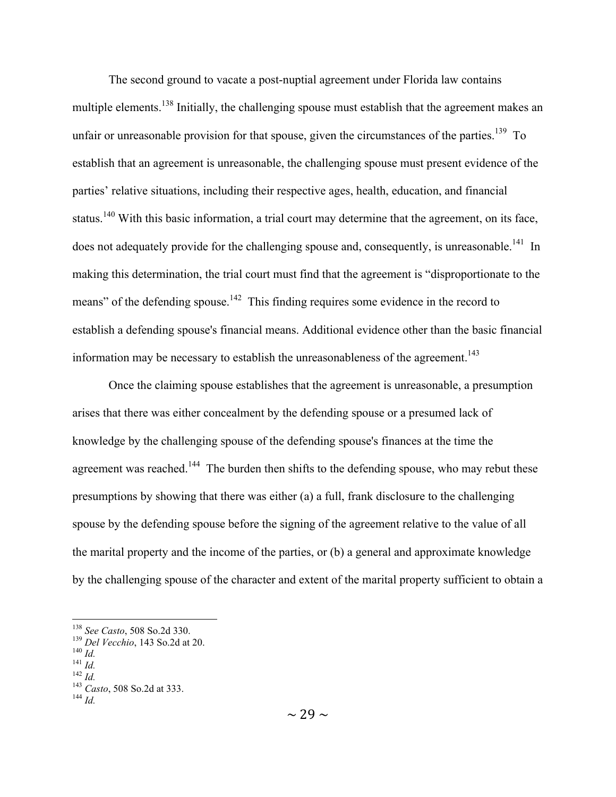The second ground to vacate a post-nuptial agreement under Florida law contains multiple elements.<sup>138</sup> Initially, the challenging spouse must establish that the agreement makes an unfair or unreasonable provision for that spouse, given the circumstances of the parties.<sup>139</sup> To establish that an agreement is unreasonable, the challenging spouse must present evidence of the parties' relative situations, including their respective ages, health, education, and financial status.<sup>140</sup> With this basic information, a trial court may determine that the agreement, on its face, does not adequately provide for the challenging spouse and, consequently, is unreasonable.<sup>141</sup> In making this determination, the trial court must find that the agreement is "disproportionate to the means" of the defending spouse.<sup>142</sup> This finding requires some evidence in the record to establish a defending spouse's financial means. Additional evidence other than the basic financial information may be necessary to establish the unreasonableness of the agreement.<sup>143</sup>

Once the claiming spouse establishes that the agreement is unreasonable, a presumption arises that there was either concealment by the defending spouse or a presumed lack of knowledge by the challenging spouse of the defending spouse's finances at the time the agreement was reached.<sup>144</sup> The burden then shifts to the defending spouse, who may rebut these presumptions by showing that there was either (a) a full, frank disclosure to the challenging spouse by the defending spouse before the signing of the agreement relative to the value of all the marital property and the income of the parties, or (b) a general and approximate knowledge by the challenging spouse of the character and extent of the marital property sufficient to obtain a

<sup>138</sup> *See Casto*, 508 *So.2d* 330.<br>
<sup>139</sup> *Del Vecchio*, 143 *So.2d* at 20.<br>
<sup>140</sup> *Id.*<br>
<sup>142</sup> *Id.*<br>
<sup>143</sup> *Casto*, 508 *So.2d* at 333.<br>
<sup>144</sup> *Id*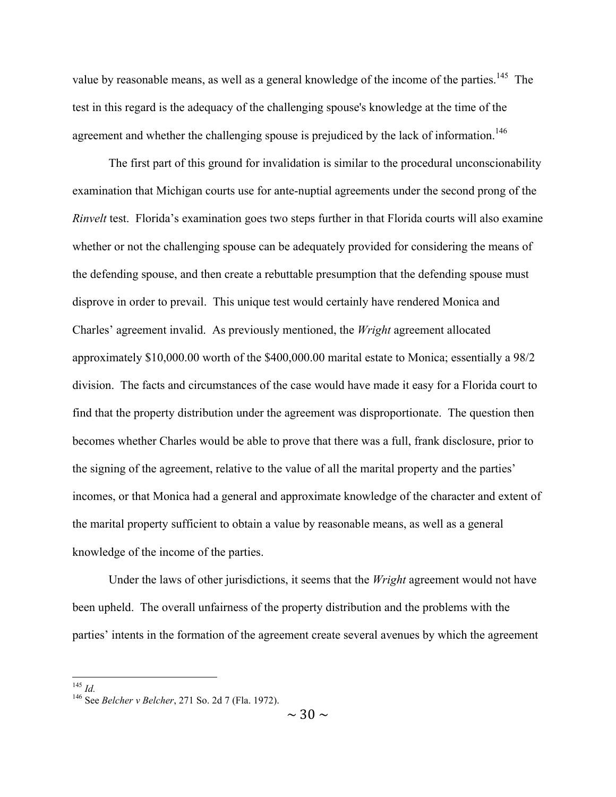value by reasonable means, as well as a general knowledge of the income of the parties.<sup>145</sup> The test in this regard is the adequacy of the challenging spouse's knowledge at the time of the agreement and whether the challenging spouse is prejudiced by the lack of information.<sup>146</sup>

The first part of this ground for invalidation is similar to the procedural unconscionability examination that Michigan courts use for ante-nuptial agreements under the second prong of the *Rinvelt* test. Florida's examination goes two steps further in that Florida courts will also examine whether or not the challenging spouse can be adequately provided for considering the means of the defending spouse, and then create a rebuttable presumption that the defending spouse must disprove in order to prevail. This unique test would certainly have rendered Monica and Charles' agreement invalid. As previously mentioned, the *Wright* agreement allocated approximately \$10,000.00 worth of the \$400,000.00 marital estate to Monica; essentially a 98/2 division. The facts and circumstances of the case would have made it easy for a Florida court to find that the property distribution under the agreement was disproportionate. The question then becomes whether Charles would be able to prove that there was a full, frank disclosure, prior to the signing of the agreement, relative to the value of all the marital property and the parties' incomes, or that Monica had a general and approximate knowledge of the character and extent of the marital property sufficient to obtain a value by reasonable means, as well as a general knowledge of the income of the parties.

Under the laws of other jurisdictions, it seems that the *Wright* agreement would not have been upheld. The overall unfairness of the property distribution and the problems with the parties' intents in the formation of the agreement create several avenues by which the agreement

<sup>145</sup> *Id.* 146 See *Belcher v Belcher*, 271 So. 2d 7 (Fla. 1972).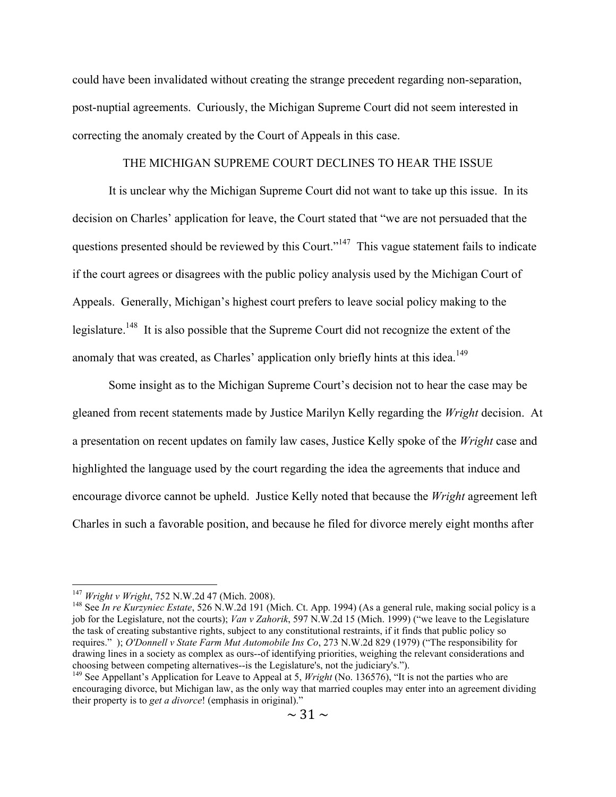could have been invalidated without creating the strange precedent regarding non-separation, post-nuptial agreements. Curiously, the Michigan Supreme Court did not seem interested in correcting the anomaly created by the Court of Appeals in this case.

#### THE MICHIGAN SUPREME COURT DECLINES TO HEAR THE ISSUE

It is unclear why the Michigan Supreme Court did not want to take up this issue. In its decision on Charles' application for leave, the Court stated that "we are not persuaded that the questions presented should be reviewed by this Court."<sup>147</sup> This vague statement fails to indicate if the court agrees or disagrees with the public policy analysis used by the Michigan Court of Appeals. Generally, Michigan's highest court prefers to leave social policy making to the legislature.<sup>148</sup> It is also possible that the Supreme Court did not recognize the extent of the anomaly that was created, as Charles' application only briefly hints at this idea.<sup>149</sup>

Some insight as to the Michigan Supreme Court's decision not to hear the case may be gleaned from recent statements made by Justice Marilyn Kelly regarding the *Wright* decision. At a presentation on recent updates on family law cases, Justice Kelly spoke of the *Wright* case and highlighted the language used by the court regarding the idea the agreements that induce and encourage divorce cannot be upheld. Justice Kelly noted that because the *Wright* agreement left Charles in such a favorable position, and because he filed for divorce merely eight months after

<sup>&</sup>lt;sup>147</sup> *Wright v Wright*, 752 N.W.2d 47 (Mich. 2008).<br><sup>148</sup> See *In re Kurzyniec Estate*, 526 N.W.2d 191 (Mich. Ct. App. 1994) (As a general rule, making social policy is a job for the Legislature, not the courts); *Van v Zahorik*, 597 N.W.2d 15 (Mich. 1999) ("we leave to the Legislature the task of creating substantive rights, subject to any constitutional restraints, if it finds that public policy so requires." ); *O'Donnell v State Farm Mut Automobile Ins Co*, 273 N.W.2d 829 (1979) ("The responsibility for drawing lines in a society as complex as ours--of identifying priorities, weighing the relevant considerations and choosing between competing alternatives--is the Legislature's, not the judiciary's.").

<sup>&</sup>lt;sup>149</sup> See Appellant's Application for Leave to Appeal at 5, *Wright* (No. 136576), "It is not the parties who are encouraging divorce, but Michigan law, as the only way that married couples may enter into an agreement dividing their property is to *get a divorce*! (emphasis in original)."